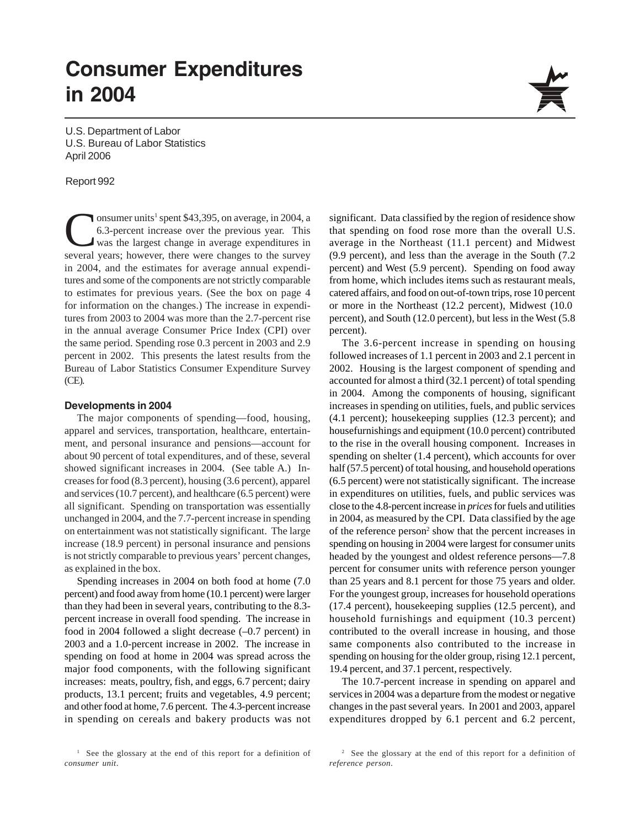# **Consumer Expenditures in 2004**

U.S. Department of Labor U.S. Bureau of Labor Statistics April 2006

#### Report 992

Consumer units<sup>1</sup> spent \$43,395, on average, in 2004, a<br>6.3-percent increase over the previous year. This<br>was the largest change in average expenditures in<br>several years: however, there were changes to the survey 6.3-percent increase over the previous year. This was the largest change in average expenditures in several years; however, there were changes to the survey in 2004, and the estimates for average annual expenditures and some of the components are not strictly comparable to estimates for previous years. (See the box on page 4 for information on the changes.) The increase in expenditures from 2003 to 2004 was more than the 2.7-percent rise in the annual average Consumer Price Index (CPI) over the same period. Spending rose 0.3 percent in 2003 and 2.9 percent in 2002. This presents the latest results from the Bureau of Labor Statistics Consumer Expenditure Survey (CE).

#### **Developments in 2004**

The major components of spending—food, housing, apparel and services, transportation, healthcare, entertainment, and personal insurance and pensions—account for about 90 percent of total expenditures, and of these, several showed significant increases in 2004. (See table A.) Increases for food (8.3 percent), housing (3.6 percent), apparel and services (10.7 percent), and healthcare (6.5 percent) were all significant. Spending on transportation was essentially unchanged in 2004, and the 7.7-percent increase in spending on entertainment was not statistically significant. The large increase (18.9 percent) in personal insurance and pensions is not strictly comparable to previous years' percent changes, as explained in the box.

Spending increases in 2004 on both food at home (7.0 percent) and food away from home (10.1 percent) were larger than they had been in several years, contributing to the 8.3 percent increase in overall food spending. The increase in food in 2004 followed a slight decrease (–0.7 percent) in 2003 and a 1.0-percent increase in 2002. The increase in spending on food at home in 2004 was spread across the major food components, with the following significant increases: meats, poultry, fish, and eggs, 6.7 percent; dairy products, 13.1 percent; fruits and vegetables, 4.9 percent; and other food at home, 7.6 percent. The 4.3-percent increase in spending on cereals and bakery products was not



significant. Data classified by the region of residence show that spending on food rose more than the overall U.S. average in the Northeast (11.1 percent) and Midwest (9.9 percent), and less than the average in the South (7.2 percent) and West (5.9 percent). Spending on food away from home, which includes items such as restaurant meals, catered affairs, and food on out-of-town trips, rose 10 percent or more in the Northeast (12.2 percent), Midwest (10.0 percent), and South (12.0 percent), but less in the West (5.8 percent).

The 3.6-percent increase in spending on housing followed increases of 1.1 percent in 2003 and 2.1 percent in 2002. Housing is the largest component of spending and accounted for almost a third (32.1 percent) of total spending in 2004. Among the components of housing, significant increases in spending on utilities, fuels, and public services (4.1 percent); housekeeping supplies (12.3 percent); and housefurnishings and equipment (10.0 percent) contributed to the rise in the overall housing component. Increases in spending on shelter (1.4 percent), which accounts for over half (57.5 percent) of total housing, and household operations (6.5 percent) were not statistically significant. The increase in expenditures on utilities, fuels, and public services was close to the 4.8-percent increase in *prices* for fuels and utilities in 2004, as measured by the CPI. Data classified by the age of the reference person<sup>2</sup> show that the percent increases in spending on housing in 2004 were largest for consumer units headed by the youngest and oldest reference persons—7.8 percent for consumer units with reference person younger than 25 years and 8.1 percent for those 75 years and older. For the youngest group, increases for household operations (17.4 percent), housekeeping supplies (12.5 percent), and household furnishings and equipment (10.3 percent) contributed to the overall increase in housing, and those same components also contributed to the increase in spending on housing for the older group, rising 12.1 percent, 19.4 percent, and 37.1 percent, respectively.

The 10.7-percent increase in spending on apparel and services in 2004 was a departure from the modest or negative changes in the past several years. In 2001 and 2003, apparel expenditures dropped by 6.1 percent and 6.2 percent,

<sup>&</sup>lt;sup>1</sup> See the glossary at the end of this report for a definition of *consumer unit*.

<sup>&</sup>lt;sup>2</sup> See the glossary at the end of this report for a definition of *reference person*.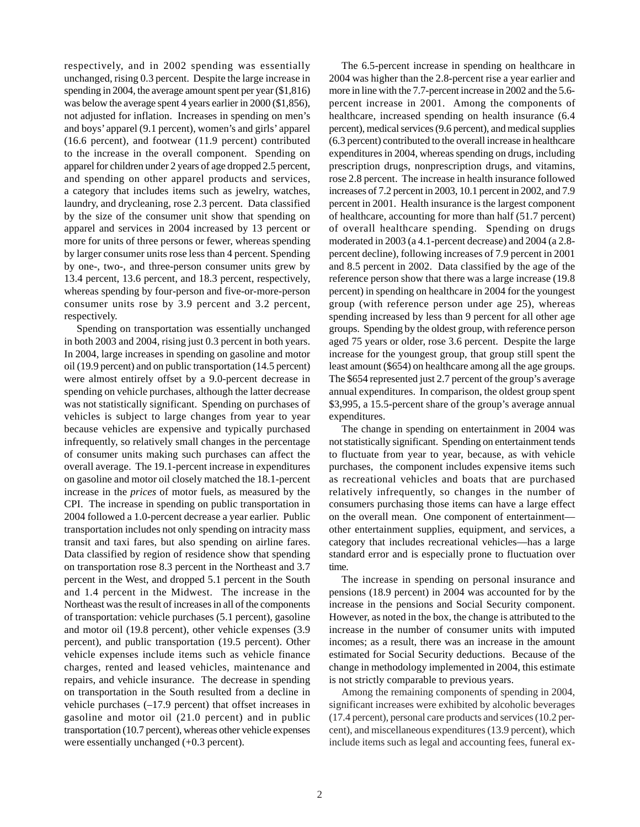respectively, and in 2002 spending was essentially unchanged, rising 0.3 percent. Despite the large increase in spending in 2004, the average amount spent per year (\$1,816) was below the average spent 4 years earlier in 2000 (\$1,856), not adjusted for inflation. Increases in spending on men's and boys' apparel (9.1 percent), women's and girls' apparel (16.6 percent), and footwear (11.9 percent) contributed to the increase in the overall component. Spending on apparel for children under 2 years of age dropped 2.5 percent, and spending on other apparel products and services, a category that includes items such as jewelry, watches, laundry, and drycleaning, rose 2.3 percent. Data classified by the size of the consumer unit show that spending on apparel and services in 2004 increased by 13 percent or more for units of three persons or fewer, whereas spending by larger consumer units rose less than 4 percent. Spending by one-, two-, and three-person consumer units grew by 13.4 percent, 13.6 percent, and 18.3 percent, respectively, whereas spending by four-person and five-or-more-person consumer units rose by 3.9 percent and 3.2 percent, respectively.

Spending on transportation was essentially unchanged in both 2003 and 2004, rising just 0.3 percent in both years. In 2004, large increases in spending on gasoline and motor oil (19.9 percent) and on public transportation (14.5 percent) were almost entirely offset by a 9.0-percent decrease in spending on vehicle purchases, although the latter decrease was not statistically significant. Spending on purchases of vehicles is subject to large changes from year to year because vehicles are expensive and typically purchased infrequently, so relatively small changes in the percentage of consumer units making such purchases can affect the overall average. The 19.1-percent increase in expenditures on gasoline and motor oil closely matched the 18.1-percent increase in the *prices* of motor fuels, as measured by the CPI. The increase in spending on public transportation in 2004 followed a 1.0-percent decrease a year earlier. Public transportation includes not only spending on intracity mass transit and taxi fares, but also spending on airline fares. Data classified by region of residence show that spending on transportation rose 8.3 percent in the Northeast and 3.7 percent in the West, and dropped 5.1 percent in the South and 1.4 percent in the Midwest. The increase in the Northeast was the result of increases in all of the components of transportation: vehicle purchases (5.1 percent), gasoline and motor oil (19.8 percent), other vehicle expenses (3.9 percent), and public transportation (19.5 percent). Other vehicle expenses include items such as vehicle finance charges, rented and leased vehicles, maintenance and repairs, and vehicle insurance. The decrease in spending on transportation in the South resulted from a decline in vehicle purchases (–17.9 percent) that offset increases in gasoline and motor oil (21.0 percent) and in public transportation (10.7 percent), whereas other vehicle expenses were essentially unchanged (+0.3 percent).

The 6.5-percent increase in spending on healthcare in 2004 was higher than the 2.8-percent rise a year earlier and more in line with the 7.7-percent increase in 2002 and the 5.6 percent increase in 2001. Among the components of healthcare, increased spending on health insurance (6.4 percent), medical services (9.6 percent), and medical supplies (6.3 percent) contributed to the overall increase in healthcare expenditures in 2004, whereas spending on drugs, including prescription drugs, nonprescription drugs, and vitamins, rose 2.8 percent. The increase in health insurance followed increases of 7.2 percent in 2003, 10.1 percent in 2002, and 7.9 percent in 2001. Health insurance is the largest component of healthcare, accounting for more than half (51.7 percent) of overall healthcare spending. Spending on drugs moderated in 2003 (a 4.1-percent decrease) and 2004 (a 2.8 percent decline), following increases of 7.9 percent in 2001 and 8.5 percent in 2002. Data classified by the age of the reference person show that there was a large increase (19.8 percent) in spending on healthcare in 2004 for the youngest group (with reference person under age 25), whereas spending increased by less than 9 percent for all other age groups. Spending by the oldest group, with reference person aged 75 years or older, rose 3.6 percent. Despite the large increase for the youngest group, that group still spent the least amount (\$654) on healthcare among all the age groups. The \$654 represented just 2.7 percent of the group's average annual expenditures. In comparison, the oldest group spent \$3,995, a 15.5-percent share of the group's average annual expenditures.

The change in spending on entertainment in 2004 was not statistically significant. Spending on entertainment tends to fluctuate from year to year, because, as with vehicle purchases, the component includes expensive items such as recreational vehicles and boats that are purchased relatively infrequently, so changes in the number of consumers purchasing those items can have a large effect on the overall mean. One component of entertainment other entertainment supplies, equipment, and services, a category that includes recreational vehicles—has a large standard error and is especially prone to fluctuation over time.

The increase in spending on personal insurance and pensions (18.9 percent) in 2004 was accounted for by the increase in the pensions and Social Security component. However, as noted in the box, the change is attributed to the increase in the number of consumer units with imputed incomes; as a result, there was an increase in the amount estimated for Social Security deductions. Because of the change in methodology implemented in 2004, this estimate is not strictly comparable to previous years.

Among the remaining components of spending in 2004, significant increases were exhibited by alcoholic beverages (17.4 percent), personal care products and services (10.2 percent), and miscellaneous expenditures (13.9 percent), which include items such as legal and accounting fees, funeral ex-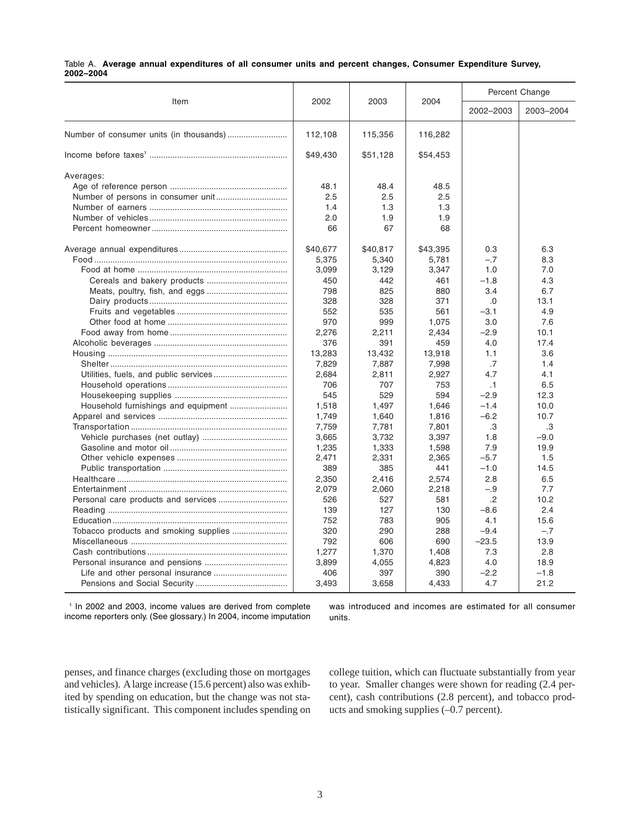|           |  | Table A. Average annual expenditures of all consumer units and percent changes, Consumer Expenditure Survey, |  |  |  |  |  |
|-----------|--|--------------------------------------------------------------------------------------------------------------|--|--|--|--|--|
| 2002-2004 |  |                                                                                                              |  |  |  |  |  |

| Item                                  | 2002     | 2003     | 2004     | Percent Change |           |  |  |
|---------------------------------------|----------|----------|----------|----------------|-----------|--|--|
|                                       |          |          |          | 2002-2003      | 2003-2004 |  |  |
|                                       | 112,108  | 115,356  | 116,282  |                |           |  |  |
|                                       | \$49,430 | \$51,128 | \$54,453 |                |           |  |  |
| Averages:                             |          |          |          |                |           |  |  |
|                                       | 48.1     | 48.4     | 48.5     |                |           |  |  |
|                                       | 2.5      | 2.5      | 2.5      |                |           |  |  |
|                                       | 1.4      | 1.3      | 1.3      |                |           |  |  |
|                                       | 2.0      | 1.9      | 1.9      |                |           |  |  |
|                                       | 66       | 67       | 68       |                |           |  |  |
|                                       | \$40,677 | \$40,817 | \$43,395 | 0.3            | 6.3       |  |  |
|                                       | 5,375    | 5,340    | 5,781    | $-.7$          | 8.3       |  |  |
|                                       | 3,099    | 3,129    | 3,347    | 1.0            | 7.0       |  |  |
|                                       | 450      | 442      | 461      | $-1.8$         | 4.3       |  |  |
|                                       | 798      | 825      | 880      | 3.4            | 6.7       |  |  |
|                                       | 328      | 328      | 371      | .0             | 13.1      |  |  |
|                                       | 552      | 535      | 561      | $-3.1$         | 4.9       |  |  |
|                                       | 970      | 999      | 1,075    | 3.0            | 7.6       |  |  |
|                                       | 2,276    | 2,211    | 2,434    | $-2.9$         | 10.1      |  |  |
|                                       | 376      | 391      | 459      | 4.0            | 17.4      |  |  |
|                                       | 13,283   | 13,432   | 13,918   | 1.1            | 3.6       |  |  |
|                                       | 7,829    | 7,887    | 7,998    | .7             | 1.4       |  |  |
|                                       | 2.684    | 2,811    | 2.927    | 4.7            | 4.1       |  |  |
|                                       | 706      | 707      | 753      | .1             | 6.5       |  |  |
|                                       | 545      | 529      | 594      | $-2.9$         | 12.3      |  |  |
|                                       | 1,518    | 1,497    | 1,646    | $-1.4$         | 10.0      |  |  |
|                                       | 1,749    | 1,640    | 1,816    | $-6.2$         | 10.7      |  |  |
|                                       | 7,759    | 7,781    | 7,801    | .3             | .3        |  |  |
|                                       | 3,665    | 3,732    | 3,397    | 1.8            | $-9.0$    |  |  |
|                                       | 1,235    | 1,333    | 1,598    | 7.9            | 19.9      |  |  |
|                                       | 2,471    | 2,331    | 2,365    | $-5.7$         | 1.5       |  |  |
|                                       | 389      | 385      | 441      | $-1.0$         | 14.5      |  |  |
|                                       | 2,350    | 2.416    | 2.574    | 2.8            | 6.5       |  |  |
|                                       | 2,079    | 2,060    | 2,218    | $-.9$          | 7.7       |  |  |
|                                       | 526      | 527      | 581      | .2             | 10.2      |  |  |
|                                       | 139      | 127      | 130      | $-8.6$         | 2.4       |  |  |
|                                       | 752      | 783      | 905      | 4.1            | 15.6      |  |  |
| Tobacco products and smoking supplies | 320      | 290      | 288      | $-9.4$         | $-.7$     |  |  |
|                                       | 792      | 606      | 690      | $-23.5$        | 13.9      |  |  |
|                                       | 1,277    | 1,370    | 1,408    | 7.3            | 2.8       |  |  |
|                                       | 3,899    | 4,055    | 4,823    | 4.0            | 18.9      |  |  |
|                                       | 406      | 397      | 390      | $-2.2$         | $-1.8$    |  |  |
|                                       | 3,493    | 3,658    | 4,433    | 4.7            | 21.2      |  |  |

<sup>1</sup> In 2002 and 2003, income values are derived from complete income reporters only. (See glossary.) In 2004, income imputation was introduced and incomes are estimated for all consumer units.

penses, and finance charges (excluding those on mortgages and vehicles). A large increase (15.6 percent) also was exhibited by spending on education, but the change was not statistically significant. This component includes spending on college tuition, which can fluctuate substantially from year to year. Smaller changes were shown for reading (2.4 percent), cash contributions (2.8 percent), and tobacco products and smoking supplies (–0.7 percent).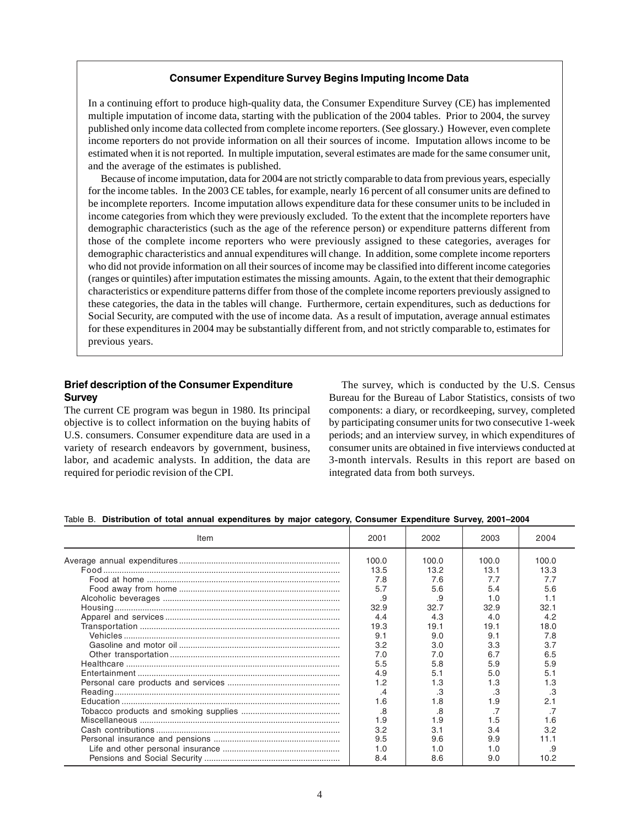## **Consumer Expenditure Survey Begins Imputing Income Data**

In a continuing effort to produce high-quality data, the Consumer Expenditure Survey (CE) has implemented multiple imputation of income data, starting with the publication of the 2004 tables. Prior to 2004, the survey published only income data collected from complete income reporters. (See glossary.) However, even complete income reporters do not provide information on all their sources of income. Imputation allows income to be estimated when it is not reported. In multiple imputation, several estimates are made for the same consumer unit, and the average of the estimates is published.

Because of income imputation, data for 2004 are not strictly comparable to data from previous years, especially for the income tables. In the 2003 CE tables, for example, nearly 16 percent of all consumer units are defined to be incomplete reporters. Income imputation allows expenditure data for these consumer units to be included in income categories from which they were previously excluded. To the extent that the incomplete reporters have demographic characteristics (such as the age of the reference person) or expenditure patterns different from those of the complete income reporters who were previously assigned to these categories, averages for demographic characteristics and annual expenditures will change. In addition, some complete income reporters who did not provide information on all their sources of income may be classified into different income categories (ranges or quintiles) after imputation estimates the missing amounts. Again, to the extent that their demographic characteristics or expenditure patterns differ from those of the complete income reporters previously assigned to these categories, the data in the tables will change. Furthermore, certain expenditures, such as deductions for Social Security, are computed with the use of income data. As a result of imputation, average annual estimates for these expenditures in 2004 may be substantially different from, and not strictly comparable to, estimates for previous years.

## **Brief description of the Consumer Expenditure Survey**

The current CE program was begun in 1980. Its principal objective is to collect information on the buying habits of U.S. consumers. Consumer expenditure data are used in a variety of research endeavors by government, business, labor, and academic analysts. In addition, the data are required for periodic revision of the CPI.

The survey, which is conducted by the U.S. Census Bureau for the Bureau of Labor Statistics, consists of two components: a diary, or recordkeeping, survey, completed by participating consumer units for two consecutive 1-week periods; and an interview survey, in which expenditures of consumer units are obtained in five interviews conducted at 3-month intervals. Results in this report are based on integrated data from both surveys.

|  |  |  |  | Table B. Distribution of total annual expenditures by major category, Consumer Expenditure Survey, 2001-2004 |  |  |  |  |  |  |  |  |
|--|--|--|--|--------------------------------------------------------------------------------------------------------------|--|--|--|--|--|--|--|--|
|--|--|--|--|--------------------------------------------------------------------------------------------------------------|--|--|--|--|--|--|--|--|

| Item | 2001  | 2002  | 2003  | 2004  |
|------|-------|-------|-------|-------|
|      | 100.0 | 100.0 | 100.0 | 100.0 |
|      | 13.5  | 13.2  | 13.1  | 13.3  |
|      | 7.8   | 7.6   | 7.7   | 7.7   |
|      | 5.7   | 5.6   | 5.4   | 5.6   |
|      | .9    | .9    | 1.0   | 1.1   |
|      | 32.9  | 32.7  | 32.9  | 32.1  |
|      | 4.4   | 4.3   | 4.0   | 4.2   |
|      | 19.3  | 19.1  | 19.1  | 18.0  |
|      | 9.1   | 9.0   | 9.1   | 7.8   |
|      | 3.2   | 3.0   | 3.3   | 3.7   |
|      | 7.0   | 7.0   | 6.7   | 6.5   |
|      | 5.5   | 5.8   | 5.9   | 5.9   |
|      | 4.9   | 5.1   | 5.0   | 5.1   |
|      | 1.2   | 1.3   | 1.3   | 1.3   |
|      | .4    | .3    | .3    | .3    |
|      | 1.6   | 1.8   | 1.9   | 2.1   |
|      | .8    | .8    |       |       |
|      | 1.9   | 1.9   | 1.5   | 1.6   |
|      | 3.2   | 3.1   | 3.4   | 3.2   |
|      | 9.5   | 9.6   | 9.9   | 11.1  |
|      | 1.0   | 1.0   | 1.0   | .9    |
|      | 8.4   | 8.6   | 9.0   | 10.2  |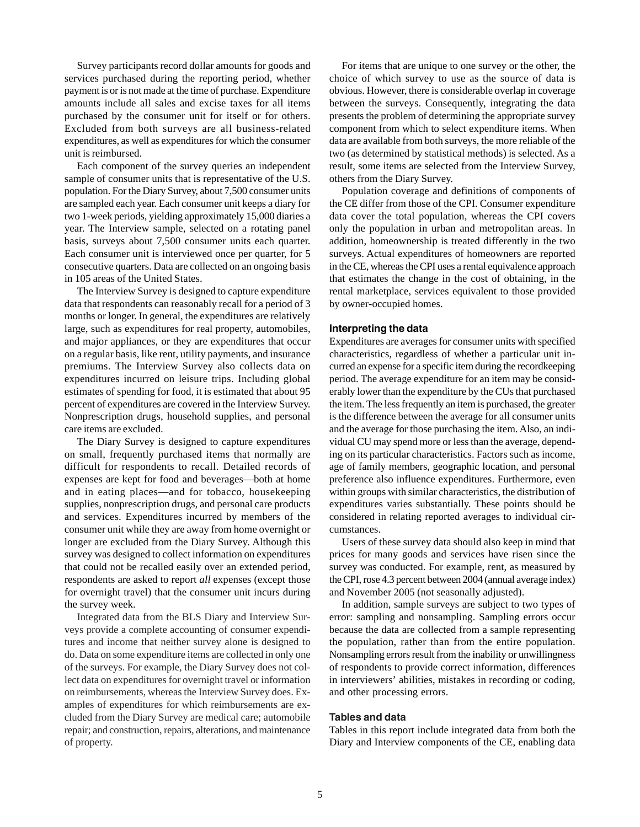Survey participants record dollar amounts for goods and services purchased during the reporting period, whether payment is or is not made at the time of purchase. Expenditure amounts include all sales and excise taxes for all items purchased by the consumer unit for itself or for others. Excluded from both surveys are all business-related expenditures, as well as expenditures for which the consumer unit is reimbursed.

Each component of the survey queries an independent sample of consumer units that is representative of the U.S. population. For the Diary Survey, about 7,500 consumer units are sampled each year. Each consumer unit keeps a diary for two 1-week periods, yielding approximately 15,000 diaries a year. The Interview sample, selected on a rotating panel basis, surveys about 7,500 consumer units each quarter. Each consumer unit is interviewed once per quarter, for 5 consecutive quarters. Data are collected on an ongoing basis in 105 areas of the United States.

The Interview Survey is designed to capture expenditure data that respondents can reasonably recall for a period of 3 months or longer. In general, the expenditures are relatively large, such as expenditures for real property, automobiles, and major appliances, or they are expenditures that occur on a regular basis, like rent, utility payments, and insurance premiums. The Interview Survey also collects data on expenditures incurred on leisure trips. Including global estimates of spending for food, it is estimated that about 95 percent of expenditures are covered in the Interview Survey. Nonprescription drugs, household supplies, and personal care items are excluded.

The Diary Survey is designed to capture expenditures on small, frequently purchased items that normally are difficult for respondents to recall. Detailed records of expenses are kept for food and beverages—both at home and in eating places—and for tobacco, housekeeping supplies, nonprescription drugs, and personal care products and services. Expenditures incurred by members of the consumer unit while they are away from home overnight or longer are excluded from the Diary Survey. Although this survey was designed to collect information on expenditures that could not be recalled easily over an extended period, respondents are asked to report *all* expenses (except those for overnight travel) that the consumer unit incurs during the survey week.

Integrated data from the BLS Diary and Interview Surveys provide a complete accounting of consumer expenditures and income that neither survey alone is designed to do. Data on some expenditure items are collected in only one of the surveys. For example, the Diary Survey does not collect data on expenditures for overnight travel or information on reimbursements, whereas the Interview Survey does. Examples of expenditures for which reimbursements are excluded from the Diary Survey are medical care; automobile repair; and construction, repairs, alterations, and maintenance of property.

For items that are unique to one survey or the other, the choice of which survey to use as the source of data is obvious. However, there is considerable overlap in coverage between the surveys. Consequently, integrating the data presents the problem of determining the appropriate survey component from which to select expenditure items. When data are available from both surveys, the more reliable of the two (as determined by statistical methods) is selected. As a result, some items are selected from the Interview Survey, others from the Diary Survey.

Population coverage and definitions of components of the CE differ from those of the CPI. Consumer expenditure data cover the total population, whereas the CPI covers only the population in urban and metropolitan areas. In addition, homeownership is treated differently in the two surveys. Actual expenditures of homeowners are reported in the CE, whereas the CPI uses a rental equivalence approach that estimates the change in the cost of obtaining, in the rental marketplace, services equivalent to those provided by owner-occupied homes.

#### **Interpreting the data**

Expenditures are averages for consumer units with specified characteristics, regardless of whether a particular unit incurred an expense for a specific item during the recordkeeping period. The average expenditure for an item may be considerably lower than the expenditure by the CUs that purchased the item. The less frequently an item is purchased, the greater is the difference between the average for all consumer units and the average for those purchasing the item. Also, an individual CU may spend more or less than the average, depending on its particular characteristics. Factors such as income, age of family members, geographic location, and personal preference also influence expenditures. Furthermore, even within groups with similar characteristics, the distribution of expenditures varies substantially. These points should be considered in relating reported averages to individual circumstances.

Users of these survey data should also keep in mind that prices for many goods and services have risen since the survey was conducted. For example, rent, as measured by the CPI, rose 4.3 percent between 2004 (annual average index) and November 2005 (not seasonally adjusted).

In addition, sample surveys are subject to two types of error: sampling and nonsampling. Sampling errors occur because the data are collected from a sample representing the population, rather than from the entire population. Nonsampling errors result from the inability or unwillingness of respondents to provide correct information, differences in interviewers' abilities, mistakes in recording or coding, and other processing errors.

### **Tables and data**

Tables in this report include integrated data from both the Diary and Interview components of the CE, enabling data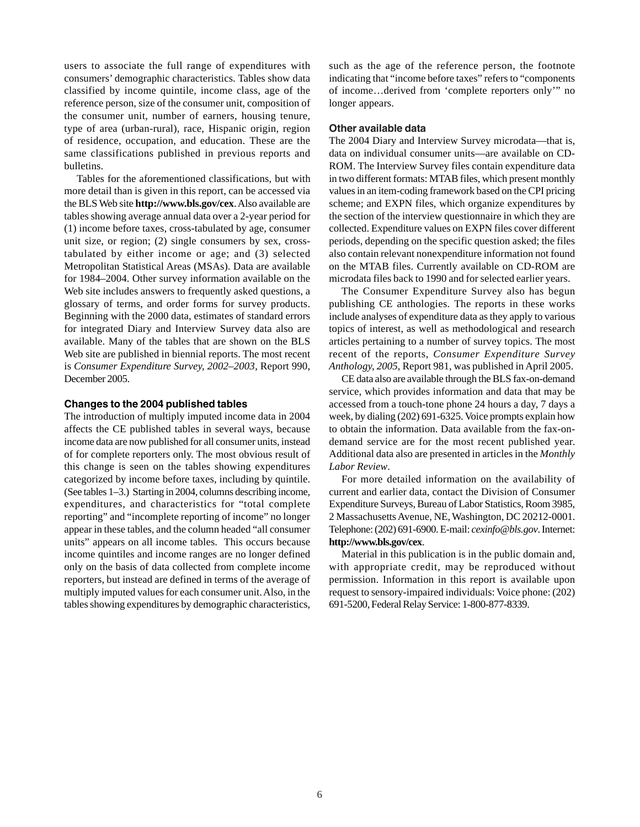users to associate the full range of expenditures with consumers' demographic characteristics. Tables show data classified by income quintile, income class, age of the reference person, size of the consumer unit, composition of the consumer unit, number of earners, housing tenure, type of area (urban-rural), race, Hispanic origin, region of residence, occupation, and education. These are the same classifications published in previous reports and bulletins.

Tables for the aforementioned classifications, but with more detail than is given in this report, can be accessed via the BLS Web site **http://www.bls.gov/cex**. Also available are tables showing average annual data over a 2-year period for (1) income before taxes, cross-tabulated by age, consumer unit size, or region; (2) single consumers by sex, crosstabulated by either income or age; and (3) selected Metropolitan Statistical Areas (MSAs). Data are available for 1984–2004. Other survey information available on the Web site includes answers to frequently asked questions, a glossary of terms, and order forms for survey products. Beginning with the 2000 data, estimates of standard errors for integrated Diary and Interview Survey data also are available. Many of the tables that are shown on the BLS Web site are published in biennial reports. The most recent is *Consumer Expenditure Survey, 2002–2003*, Report 990, December 2005.

#### **Changes to the 2004 published tables**

The introduction of multiply imputed income data in 2004 affects the CE published tables in several ways, because income data are now published for all consumer units, instead of for complete reporters only. The most obvious result of this change is seen on the tables showing expenditures categorized by income before taxes, including by quintile. (See tables 1–3.) Starting in 2004, columns describing income, expenditures, and characteristics for "total complete reporting" and "incomplete reporting of income" no longer appear in these tables, and the column headed "all consumer units" appears on all income tables. This occurs because income quintiles and income ranges are no longer defined only on the basis of data collected from complete income reporters, but instead are defined in terms of the average of multiply imputed values for each consumer unit. Also, in the tables showing expenditures by demographic characteristics, such as the age of the reference person, the footnote indicating that "income before taxes" refers to "components of income…derived from 'complete reporters only'" no longer appears.

#### **Other available data**

The 2004 Diary and Interview Survey microdata—that is, data on individual consumer units—are available on CD-ROM. The Interview Survey files contain expenditure data in two different formats: MTAB files, which present monthly values in an item-coding framework based on the CPI pricing scheme; and EXPN files, which organize expenditures by the section of the interview questionnaire in which they are collected. Expenditure values on EXPN files cover different periods, depending on the specific question asked; the files also contain relevant nonexpenditure information not found on the MTAB files. Currently available on CD-ROM are microdata files back to 1990 and for selected earlier years.

The Consumer Expenditure Survey also has begun publishing CE anthologies. The reports in these works include analyses of expenditure data as they apply to various topics of interest, as well as methodological and research articles pertaining to a number of survey topics. The most recent of the reports, *Consumer Expenditure Survey Anthology, 2005*, Report 981, was published in April 2005.

CE data also are available through the BLS fax-on-demand service, which provides information and data that may be accessed from a touch-tone phone 24 hours a day, 7 days a week, by dialing (202) 691-6325. Voice prompts explain how to obtain the information. Data available from the fax-ondemand service are for the most recent published year. Additional data also are presented in articles in the *Monthly Labor Review*.

For more detailed information on the availability of current and earlier data, contact the Division of Consumer Expenditure Surveys, Bureau of Labor Statistics, Room 3985, 2 Massachusetts Avenue, NE, Washington, DC 20212-0001. Telephone: (202) 691-6900. E-mail: *cexinfo@bls.gov*.Internet: **http://www.bls.gov/cex**.

Material in this publication is in the public domain and, with appropriate credit, may be reproduced without permission. Information in this report is available upon request to sensory-impaired individuals: Voice phone: (202) 691-5200, Federal Relay Service: 1-800-877-8339.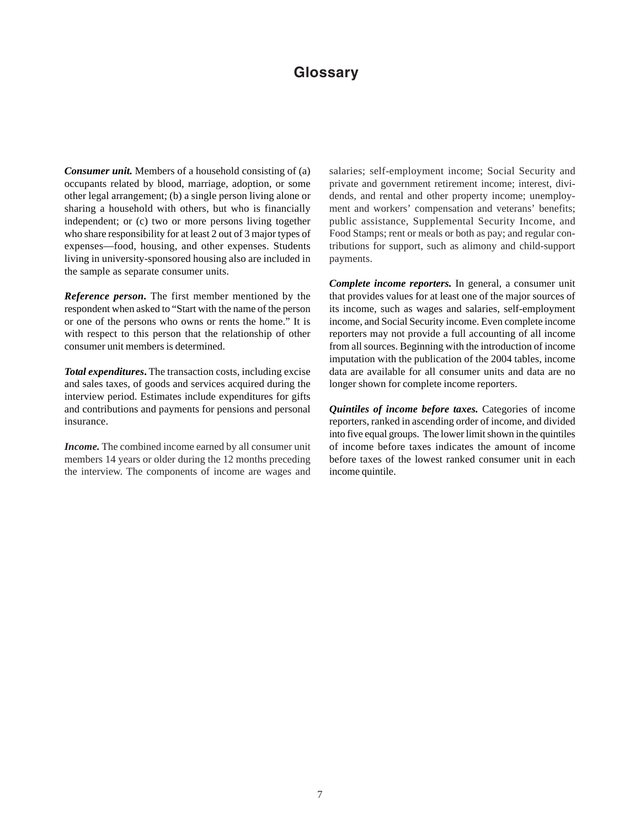## **Glossary**

*Consumer unit.* Members of a household consisting of (a) occupants related by blood, marriage, adoption, or some other legal arrangement; (b) a single person living alone or sharing a household with others, but who is financially independent; or (c) two or more persons living together who share responsibility for at least 2 out of 3 major types of expenses—food, housing, and other expenses. Students living in university-sponsored housing also are included in the sample as separate consumer units.

*Reference person***.** The first member mentioned by the respondent when asked to "Start with the name of the person or one of the persons who owns or rents the home." It is with respect to this person that the relationship of other consumer unit members is determined.

*Total expenditures***.** The transaction costs, including excise and sales taxes, of goods and services acquired during the interview period. Estimates include expenditures for gifts and contributions and payments for pensions and personal insurance.

*Income***.** The combined income earned by all consumer unit members 14 years or older during the 12 months preceding the interview. The components of income are wages and salaries; self-employment income; Social Security and private and government retirement income; interest, dividends, and rental and other property income; unemployment and workers' compensation and veterans' benefits; public assistance, Supplemental Security Income, and Food Stamps; rent or meals or both as pay; and regular contributions for support, such as alimony and child-support payments.

*Complete income reporters.* In general, a consumer unit that provides values for at least one of the major sources of its income, such as wages and salaries, self-employment income, and Social Security income. Even complete income reporters may not provide a full accounting of all income from all sources. Beginning with the introduction of income imputation with the publication of the 2004 tables, income data are available for all consumer units and data are no longer shown for complete income reporters.

*Quintiles of income before taxes.* Categories of income reporters, ranked in ascending order of income, and divided into five equal groups. The lower limit shown in the quintiles of income before taxes indicates the amount of income before taxes of the lowest ranked consumer unit in each income quintile.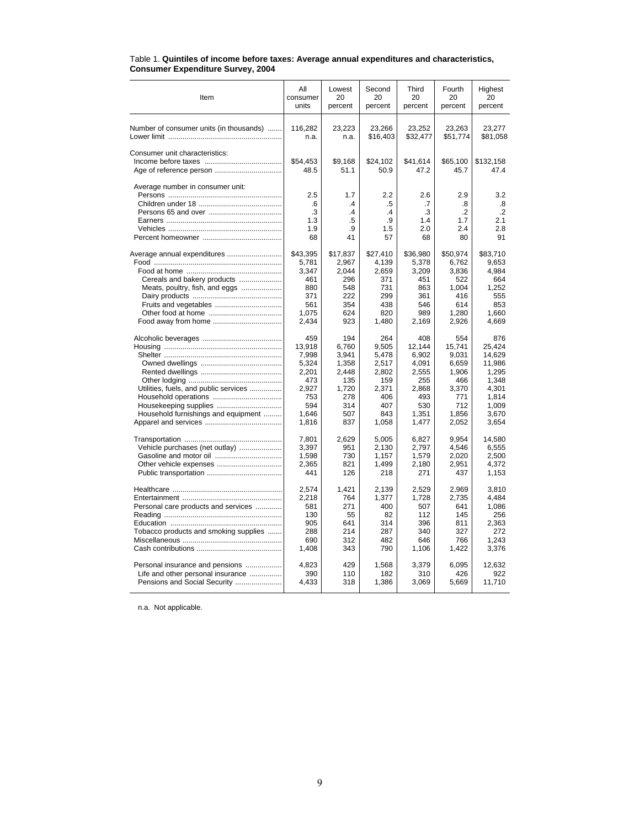| Item                                    | All<br>consumer<br>units | Lowest<br>20<br>percent | Second<br>20<br>percent | Third<br>20<br>percent | Fourth<br>20<br>percent | Highest<br>20<br>percent |
|-----------------------------------------|--------------------------|-------------------------|-------------------------|------------------------|-------------------------|--------------------------|
| Number of consumer units (in thousands) | 116.282<br>n.a.          | 23.223<br>n.a.          | 23.266<br>\$16,403      | 23.252<br>\$32,477     | 23.263<br>\$51,774      | 23.277<br>\$81,058       |
| Consumer unit characteristics:          |                          |                         |                         |                        |                         |                          |
|                                         | \$54,453                 | \$9,168                 | \$24,102                | \$41,614               | \$65,100                | \$132,158                |
|                                         | 48.5                     | 51.1                    | 50.9                    | 47.2                   | 45.7                    | 47.4                     |
| Average number in consumer unit:        |                          |                         |                         |                        |                         |                          |
|                                         | 2.5                      | 1.7                     | 2.2                     | 2.6                    | 2.9                     | 3.2                      |
|                                         | .6                       | $\cdot$                 | .5                      | .7                     | .8                      | .8                       |
|                                         | .3                       | $\cdot$                 | $\cdot$                 | .3                     | .2                      | $\cdot$                  |
|                                         | 1.3                      | .5                      | .9                      | 1.4                    | 1.7                     | 2.1                      |
|                                         | 1.9                      | .9                      | 1.5                     | 2.0                    | 2.4                     | 2.8                      |
|                                         | 68                       | 41                      | 57                      | 68                     | 80                      | 91                       |
| Average annual expenditures             | \$43,395                 | \$17,837                | \$27,410                | \$36,980               | \$50,974                | \$83,710                 |
|                                         | 5,781                    | 2,967                   | 4,139                   | 5,378                  | 6,762                   | 9,653                    |
|                                         | 3,347                    | 2,044                   | 2,659                   | 3,209                  | 3,836                   | 4,984                    |
| Cereals and bakery products             | 461                      | 296                     | 371                     | 451                    | 522                     | 664                      |
| Meats, poultry, fish, and eggs          | 880                      | 548                     | 731                     | 863                    | 1.004                   | 1.252                    |
|                                         | 371                      | 222                     | 299                     | 361                    | 416                     | 555                      |
|                                         | 561                      | 354                     | 438                     | 546                    | 614                     | 853                      |
|                                         | 1,075                    | 624                     | 820                     | 989                    | 1,280                   | 1.660                    |
|                                         | 2,434                    | 923                     | 1,480                   | 2,169                  | 2,926                   | 4,669                    |
|                                         | 459                      | 194                     | 264                     | 408                    | 554                     | 876                      |
|                                         | 13,918                   | 6,760                   | 9,505                   | 12,144                 | 15,741                  | 25.424                   |
|                                         | 7,998                    | 3,941                   | 5,478                   | 6,902                  | 9,031                   | 14,629                   |
|                                         | 5,324                    | 1,358                   | 2,517                   | 4,091                  | 6,659                   | 11,986                   |
|                                         | 2,201                    | 2,448                   | 2,802                   | 2,555                  | 1,906                   | 1,295                    |
|                                         | 473                      | 135                     | 159                     | 255                    | 466                     | 1.348                    |
| Utilities, fuels, and public services   | 2,927                    | 1,720                   | 2,371                   | 2,868                  | 3,370                   | 4,301                    |
|                                         | 753                      | 278                     | 406                     | 493                    | 771                     | 1,814                    |
| Housekeeping supplies                   | 594                      | 314                     | 407                     | 530                    | 712                     | 1,009                    |
| Household furnishings and equipment     | 1.646<br>1,816           | 507<br>837              | 843<br>1,058            | 1,351<br>1,477         | 1,856<br>2,052          | 3,670<br>3,654           |
|                                         |                          |                         |                         |                        |                         |                          |
|                                         | 7,801                    | 2,629                   | 5,005                   | 6,827                  | 9,954                   | 14,580                   |
| Vehicle purchases (net outlay)          | 3,397                    | 951                     | 2,130                   | 2,797                  | 4,546                   | 6,555                    |
|                                         | 1,598                    | 730                     | 1.157                   | 1,579                  | 2,020                   | 2.500                    |
|                                         | 2,365                    | 821                     | 1,499                   | 2,180                  | 2,951                   | 4.372                    |
|                                         | 441                      | 126                     | 218                     | 271                    | 437                     | 1,153                    |
|                                         | 2,574                    | 1,421                   | 2,139                   | 2,529                  | 2,969                   | 3,810                    |
|                                         | 2,218                    | 764                     | 1,377                   | 1,728                  | 2,735                   | 4,484                    |
| Personal care products and services     | 581                      | 271                     | 400                     | 507                    | 641                     | 1,086                    |
|                                         | 130                      | 55                      | 82                      | 112                    | 145                     | 256                      |
|                                         | 905                      | 641                     | 314                     | 396                    | 811                     | 2,363                    |
| Tobacco products and smoking supplies   | 288                      | 214                     | 287                     | 340                    | 327                     | 272                      |
|                                         | 690                      | 312                     | 482                     | 646                    | 766                     | 1,243                    |
|                                         | 1,408                    | 343                     | 790                     | 1,106                  | 1,422                   | 3,376                    |
| Personal insurance and pensions         | 4.823                    | 429                     | 1.568                   | 3.379                  | 6.095                   | 12.632                   |
| Life and other personal insurance       | 390                      | 110                     | 182                     | 310                    | 426                     | 922                      |
| Pensions and Social Security            | 4,433                    | 318                     | 1,386                   | 3,069                  | 5,669                   | 11,710                   |
|                                         |                          |                         |                         |                        |                         |                          |

#### Table 1. **Quintiles of income before taxes: Average annual expenditures and characteristics, Consumer Expenditure Survey, 2004**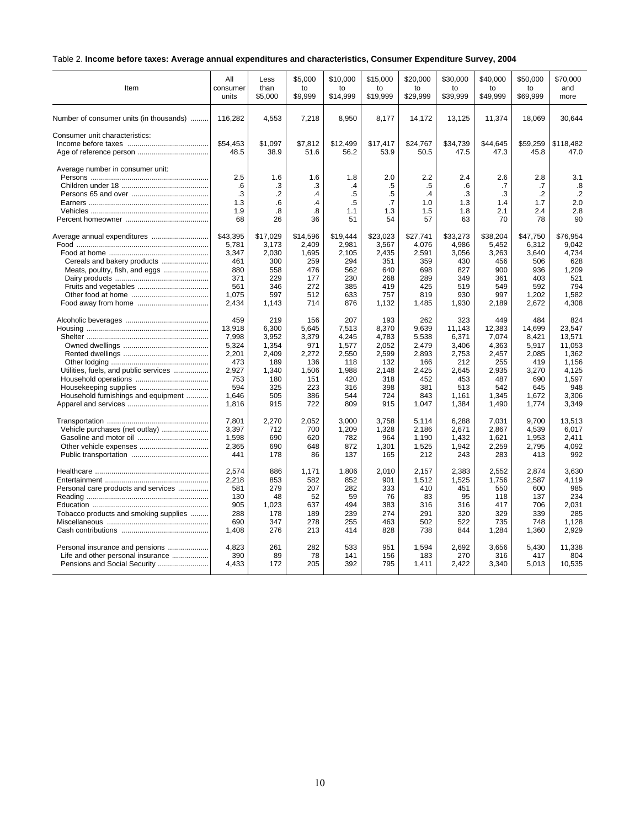## Table 2. **Income before taxes: Average annual expenditures and characteristics, Consumer Expenditure Survey, 2004**

| Item                                    | All              | Less            | \$5,000         | \$10,000         | \$15,000         | \$20,000         | \$30,000         | \$40,000         | \$50,000         | \$70,000          |
|-----------------------------------------|------------------|-----------------|-----------------|------------------|------------------|------------------|------------------|------------------|------------------|-------------------|
|                                         | consumer         | than            | to              | to               | to               | to               | to               | to               | to               | and               |
|                                         | units            | \$5,000         | \$9,999         | \$14,999         | \$19.999         | \$29,999         | \$39,999         | \$49,999         | \$69.999         | more              |
| Number of consumer units (in thousands) | 116,282          | 4,553           | 7,218           | 8,950            | 8,177            | 14,172           | 13,125           | 11,374           | 18,069           | 30.644            |
| Consumer unit characteristics:          | \$54,453<br>48.5 | \$1.097<br>38.9 | \$7.812<br>51.6 | \$12,499<br>56.2 | \$17.417<br>53.9 | \$24.767<br>50.5 | \$34,739<br>47.5 | \$44.645<br>47.3 | \$59,259<br>45.8 | \$118,482<br>47.0 |
| Average number in consumer unit:        | 2.5<br>.6        | 1.6<br>.3       | 1.6<br>.3       | 1.8<br>$\cdot$   | 2.0<br>.5        | 2.2<br>.5        | 2.4<br>.6        | 2.6<br>.7        | 2.8<br>.7        | 3.1<br>.8         |
|                                         | .3               | $\overline{2}$  | .4              | .5               | $.5\,$           | $\cdot$ 4        | .3               | .3               | $\cdot$          | $\cdot$           |
|                                         | 1.3              | .6              | .4              | .5               | .7               | 1.0              | 1.3              | 1.4              | 1.7              | 2.0               |
|                                         | 1.9              | .8              | .8              | 1.1              | 1.3              | 1.5              | 1.8              | 2.1              | 2.4              | 2.8               |
|                                         | 68               | 26              | 36              | 51               | 54               | 57               | 63               | 70               | 78               | 90                |
|                                         | \$43,395         | \$17,029        | \$14,596        | \$19,444         | \$23,023         | \$27,741         | \$33,273         | \$38,204         | \$47,750         | \$76,954          |
|                                         | 5,781            | 3,173           | 2,409           | 2,981            | 3,567            | 4,076            | 4,986            | 5,452            | 6,312            | 9.042             |
|                                         | 3,347            | 2,030           | 1,695           | 2,105            | 2,435            | 2,591            | 3,056            | 3,263            | 3,640            | 4,734             |
| Cereals and bakery products             | 461              | 300             | 259             | 294              | 351              | 359              | 430              | 456              | 506              | 628               |
| Meats, poultry, fish, and eggs          | 880              | 558             | 476             | 562              | 640              | 698              | 827              | 900              | 936              | 1,209             |
|                                         | 371              | 229             | 177             | 230              | 268              | 289              | 349              | 361              | 403              | 521               |
|                                         | 561              | 346             | 272             | 385              | 419              | 425              | 519              | 549              | 592              | 794               |
|                                         | 1,075            | 597             | 512             | 633              | 757              | 819              | 930              | 997              | 1,202            | 1,582             |
|                                         | 2,434            | 1,143           | 714             | 876              | 1,132            | 1,485            | 1,930            | 2,189            | 2,672            | 4,308             |
|                                         | 459              | 219             | 156             | 207              | 193              | 262              | 323              | 449              | 484              | 824               |
|                                         | 13,918           | 6,300           | 5,645           | 7,513            | 8,370            | 9,639            | 11,143           | 12,383           | 14,699           | 23.547            |
|                                         | 7,998            | 3,952           | 3,379           | 4,245            | 4,783            | 5,538            | 6,371            | 7,074            | 8,421            | 13,571            |
|                                         | 5,324            | 1,354           | 971             | 1,577            | 2,052            | 2,479            | 3,406            | 4,363            | 5,917            | 11.053            |
|                                         | 2,201            | 2,409           | 2,272           | 2,550            | 2,599            | 2,893            | 2,753            | 2,457            | 2,085            | 1,362             |
|                                         | 473              | 189             | 136             | 118              | 132              | 166              | 212              | 255              | 419              | 1,156             |
| Utilities, fuels, and public services   | 2,927            | 1,340           | 1,506           | 1,988            | 2,148            | 2,425            | 2,645            | 2,935            | 3,270            | 4,125             |
|                                         | 753              | 180             | 151             | 420              | 318              | 452              | 453              | 487              | 690              | 1,597             |
|                                         | 594              | 325             | 223             | 316              | 398              | 381              | 513              | 542              | 645              | 948               |
| Household furnishings and equipment     | 1.646            | 505             | 386             | 544              | 724              | 843              | 1,161            | 1,345            | 1,672            | 3.306             |
|                                         | 1,816            | 915             | 722             | 809              | 915              | 1,047            | 1,384            | 1,490            | 1,774            | 3.349             |
|                                         | 7,801            | 2,270           | 2,052           | 3,000            | 3,758            | 5,114            | 6,288            | 7,031            | 9,700            | 13.513            |
| Vehicle purchases (net outlay)          | 3,397            | 712             | 700             | 1.209            | 1,328            | 2.186            | 2.671            | 2,867            | 4,539            | 6.017             |
|                                         | 1,598            | 690             | 620             | 782              | 964              | 1,190            | 1,432            | 1,621            | 1,953            | 2.411             |
|                                         | 2,365            | 690             | 648             | 872              | 1,301            | 1,525            | 1,942            | 2,259            | 2.795            | 4.092             |
|                                         | 441              | 178             | 86              | 137              | 165              | 212              | 243              | 283              | 413              | 992               |
|                                         | 2.574            | 886             | 1.171           | 1.806            | 2.010            | 2.157            | 2,383            | 2,552            | 2.874            | 3.630             |
|                                         | 2,218            | 853             | 582             | 852              | 901              | 1,512            | 1,525            | 1,756            | 2,587            | 4,119             |
| Personal care products and services     | 581              | 279             | 207             | 282              | 333              | 410              | 451              | 550              | 600              | 985               |
|                                         | 130              | 48              | 52              | 59               | 76               | 83               | 95               | 118              | 137              | 234               |
|                                         | 905              | 1,023           | 637             | 494              | 383              | 316              | 316              | 417              | 706              | 2,031             |
| Tobacco products and smoking supplies   | 288              | 178             | 189             | 239              | 274              | 291              | 320              | 329              | 339              | 285               |
|                                         | 690              | 347             | 278             | 255              | 463              | 502              | 522              | 735              | 748              | 1,128             |
|                                         | 1,408            | 276             | 213             | 414              | 828              | 738              | 844              | 1,284            | 1,360            | 2,929             |
| Personal insurance and pensions         | 4.823            | 261             | 282             | 533              | 951              | 1.594            | 2,692            | 3,656            | 5,430            | 11.338            |
| Life and other personal insurance       | 390              | 89              | 78              | 141              | 156              | 183              | 270              | 316              | 417              | 804               |
|                                         | 4,433            | 172             | 205             | 392              | 795              | 1,411            | 2,422            | 3,340            | 5,013            | 10,535            |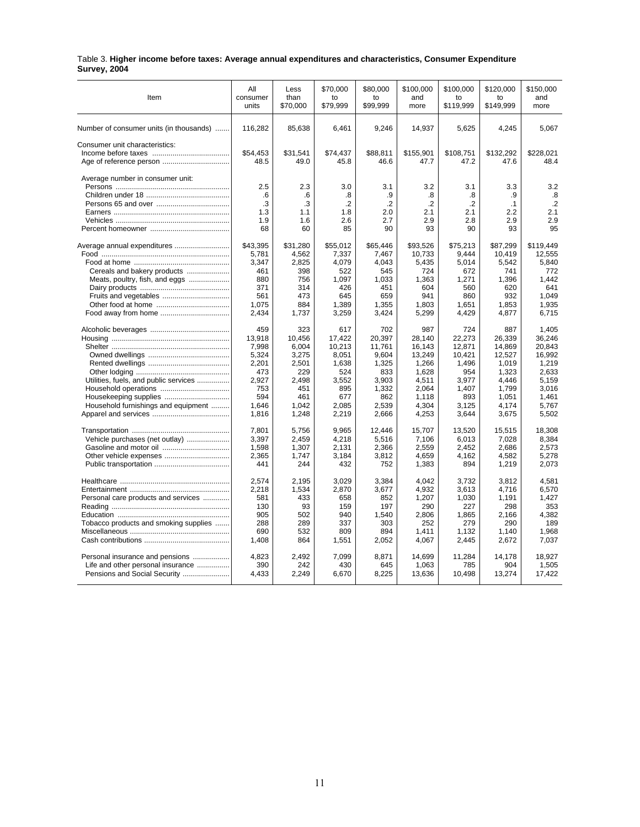| Table 3. Higher income before taxes: Average annual expenditures and characteristics, Consumer Expenditure |  |  |  |
|------------------------------------------------------------------------------------------------------------|--|--|--|
| <b>Survey, 2004</b>                                                                                        |  |  |  |

| Item                                                                                                 | All              | Less             | \$70,000                | \$80,000                | \$100,000                 | \$100,000               | \$120,000               | \$150,000                 |
|------------------------------------------------------------------------------------------------------|------------------|------------------|-------------------------|-------------------------|---------------------------|-------------------------|-------------------------|---------------------------|
|                                                                                                      | consumer         | than             | to                      | to                      | and                       | to                      | to                      | and                       |
|                                                                                                      | units            | \$70,000         | \$79,999                | \$99,999                | more                      | \$119,999               | \$149,999               | more                      |
| Number of consumer units (in thousands)                                                              | 116,282          | 85,638           | 6,461                   | 9,246                   | 14,937                    | 5,625                   | 4,245                   | 5,067                     |
| Consumer unit characteristics:                                                                       | \$54.453<br>48.5 | \$31.541<br>49.0 | \$74.437<br>45.8        | \$88.811<br>46.6        | \$155.901<br>47.7         | \$108.751<br>47.2       | \$132.292<br>47.6       | \$228.021<br>48.4         |
| Average number in consumer unit:                                                                     | 2.5<br>.6<br>.3  | 2.3<br>.6<br>.3  | 3.0<br>.8<br>$\cdot$ .2 | 3.1<br>.9<br>$\cdot$ .2 | 3.2<br>.8<br>$\cdot$ .2   | 3.1<br>.8<br>$\cdot$ .2 | 3.3<br>.9<br>$\cdot$ 1  | 3.2<br>.8<br>$\cdot$ .2   |
|                                                                                                      | 1.3              | 1.1              | 1.8                     | 2.0                     | 2.1                       | 2.1                     | 2.2                     | 2.1                       |
|                                                                                                      | 1.9              | 1.6              | 2.6                     | 2.7                     | 2.9                       | 2.8                     | 2.9                     | 2.9                       |
|                                                                                                      | 68               | 60               | 85                      | 90                      | 93                        | 90                      | 93                      | 95                        |
| Average annual expenditures                                                                          | \$43,395         | \$31,280         | \$55,012                | \$65,446                | \$93,526                  | \$75,213                | \$87,299                | \$119,449                 |
|                                                                                                      | 5.781            | 4.562            | 7.337                   | 7.467                   | 10.733                    | 9.444                   | 10.419                  | 12.555                    |
|                                                                                                      | 3,347            | 2,825            | 4,079                   | 4,043                   | 5,435                     | 5,014                   | 5,542                   | 5,840                     |
| Cereals and bakery products                                                                          | 461              | 398              | 522                     | 545                     | 724                       | 672                     | 741                     | 772                       |
| Meats, poultry, fish, and eggs                                                                       | 880              | 756              | 1,097                   | 1,033                   | 1,363                     | 1,271                   | 1,396                   | 1,442                     |
|                                                                                                      | 371              | 314              | 426                     | 451                     | 604                       | 560                     | 620                     | 641                       |
| Fruits and vegetables                                                                                | 561              | 473              | 645                     | 659                     | 941                       | 860                     | 932                     | 1,049                     |
|                                                                                                      | 1.075            | 884              | 1.389                   | 1.355                   | 1.803                     | 1.651                   | 1.853                   | 1.935                     |
| Food away from home                                                                                  | 2,434            | 1,737            | 3,259                   | 3,424                   | 5,299                     | 4,429                   | 4,877                   | 6,715                     |
|                                                                                                      | 459              | 323              | 617                     | 702                     | 987                       | 724                     | 887                     | 1.405                     |
|                                                                                                      | 13,918           | 10,456           | 17,422                  | 20,397                  | 28,140                    | 22,273                  | 26,339                  | 36,246                    |
|                                                                                                      | 7,998            | 6,004            | 10,213                  | 11,761                  | 16,143                    | 12,871                  | 14,869                  | 20,843                    |
|                                                                                                      | 5,324            | 3,275            | 8,051                   | 9,604                   | 13,249                    | 10,421                  | 12,527                  | 16,992                    |
|                                                                                                      | 2,201            | 2,501            | 1,638                   | 1,325                   | 1,266                     | 1,496                   | 1,019                   | 1,219                     |
|                                                                                                      | 473              | 229              | 524                     | 833                     | 1,628                     | 954                     | 1,323                   | 2,633                     |
| Utilities, fuels, and public services                                                                | 2,927            | 2,498            | 3,552                   | 3,903                   | 4,511                     | 3,977                   | 4,446                   | 5,159                     |
|                                                                                                      | 753              | 451              | 895                     | 1,332                   | 2,064                     | 1.407                   | 1,799                   | 3,016                     |
|                                                                                                      | 594              | 461              | 677                     | 862                     | 1,118                     | 893                     | 1,051                   | 1,461                     |
| Household furnishings and equipment                                                                  | 1.646            | 1,042            | 2,085                   | 2,539                   | 4,304                     | 3,125                   | 4,174                   | 5,767                     |
|                                                                                                      | 1,816            | 1,248            | 2,219                   | 2,666                   | 4,253                     | 3,644                   | 3,675                   | 5,502                     |
|                                                                                                      | 7,801            | 5,756            | 9,965                   | 12,446                  | 15,707                    | 13,520                  | 15,515                  | 18,308                    |
| Vehicle purchases (net outlay)                                                                       | 3,397            | 2,459            | 4,218                   | 5,516                   | 7,106                     | 6.013                   | 7,028                   | 8,384                     |
| Gasoline and motor oil                                                                               | 1,598            | 1,307            | 2,131                   | 2,366                   | 2,559                     | 2,452                   | 2,686                   | 2,573                     |
|                                                                                                      | 2,365            | 1.747            | 3,184                   | 3,812                   | 4.659                     | 4.162                   | 4,582                   | 5.278                     |
|                                                                                                      | 441              | 244              | 432                     | 752                     | 1,383                     | 894                     | 1,219                   | 2,073                     |
|                                                                                                      | 2,574            | 2,195            | 3,029                   | 3,384                   | 4,042                     | 3,732                   | 3,812                   | 4,581                     |
|                                                                                                      | 2,218            | 1,534            | 2,870                   | 3,677                   | 4,932                     | 3,613                   | 4.716                   | 6,570                     |
| Personal care products and services                                                                  | 581              | 433              | 658                     | 852                     | 1,207                     | 1,030                   | 1,191                   | 1,427                     |
|                                                                                                      | 130              | 93               | 159                     | 197                     | 290                       | 227                     | 298                     | 353                       |
|                                                                                                      | 905              | 502              | 940                     | 1,540                   | 2,806                     | 1,865                   | 2,166                   | 4,382                     |
| Tobacco products and smoking supplies                                                                | 288              | 289              | 337                     | 303                     | 252                       | 279                     | 290                     | 189                       |
|                                                                                                      | 690              | 532              | 809                     | 894                     | 1,411                     | 1,132                   | 1,140                   | 1,968                     |
|                                                                                                      | 1,408<br>4.823   | 864<br>2.492     | 1,551<br>7.099          | 2,052<br>8.871          | 4,067                     | 2,445                   | 2,672                   | 7,037                     |
| Personal insurance and pensions<br>Life and other personal insurance<br>Pensions and Social Security | 390<br>4,433     | 242<br>2,249     | 430<br>6,670            | 645<br>8,225            | 14,699<br>1,063<br>13,636 | 11,284<br>785<br>10,498 | 14,178<br>904<br>13,274 | 18,927<br>1,505<br>17,422 |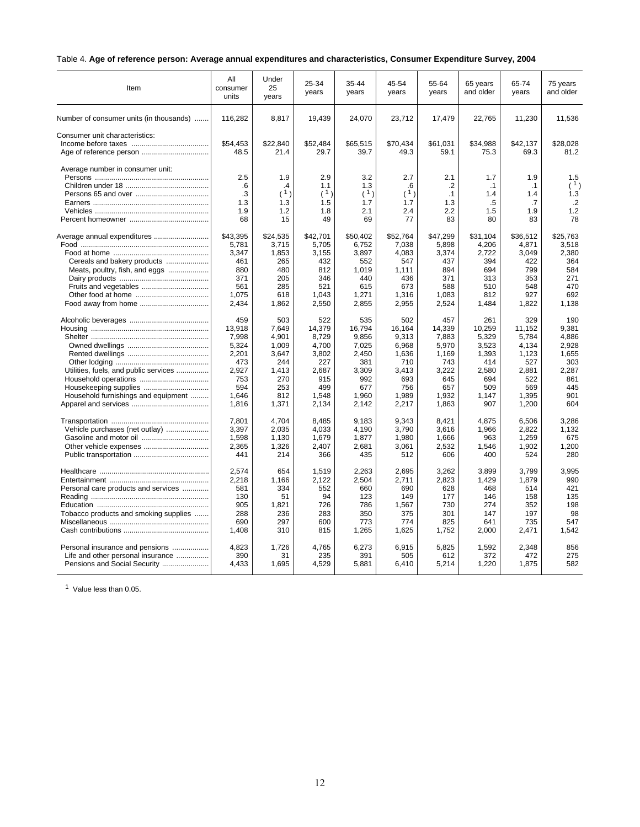## Table 4. **Age of reference person: Average annual expenditures and characteristics, Consumer Expenditure Survey, 2004**

| Item                                    | All<br>consumer<br>units                     | Under<br>25<br>years                | 25-34<br>years                        | 35-44<br>years                        | 45-54<br>years                                | 55-64<br>years                           | 65 years<br>and older                      | 65-74<br>years                      | 75 years<br>and older                     |
|-----------------------------------------|----------------------------------------------|-------------------------------------|---------------------------------------|---------------------------------------|-----------------------------------------------|------------------------------------------|--------------------------------------------|-------------------------------------|-------------------------------------------|
| Number of consumer units (in thousands) | 116,282                                      | 8,817                               | 19,439                                | 24,070                                | 23,712                                        | 17,479                                   | 22,765                                     | 11,230                              | 11,536                                    |
| Consumer unit characteristics:          | \$54.453<br>48.5                             | \$22.840<br>21.4                    | \$52.484<br>29.7                      | \$65.515<br>39.7                      | \$70.434<br>49.3                              | \$61.031<br>59.1                         | \$34.988<br>75.3                           | \$42.137<br>69.3                    | \$28,028<br>81.2                          |
| Average number in consumer unit:        | 2.5<br>$6^{\circ}$<br>.3<br>1.3<br>1.9<br>68 | 1.9<br>4<br>(1)<br>1.3<br>1.2<br>15 | 2.9<br>1.1<br>(1)<br>1.5<br>1.8<br>49 | 3.2<br>1.3<br>(1)<br>1.7<br>2.1<br>69 | 2.7<br>$6^{\circ}$<br>(1)<br>1.7<br>2.4<br>77 | 2.1<br>$\cdot$<br>.1<br>1.3<br>2.2<br>83 | 1.7<br>$\cdot$ 1<br>1.4<br>.5<br>1.5<br>80 | 1.9<br>.1<br>1.4<br>.7<br>1.9<br>83 | 1.5<br>(1)<br>1.3<br>$\cdot$<br>1.2<br>78 |
| Average annual expenditures             | \$43,395                                     | \$24,535                            | \$42.701                              | \$50.402                              | \$52,764                                      | \$47.299                                 | \$31,104                                   | \$36,512                            | \$25.763                                  |
|                                         | 5,781                                        | 3,715                               | 5,705                                 | 6,752                                 | 7,038                                         | 5,898                                    | 4,206                                      | 4,871                               | 3,518                                     |
|                                         | 3,347                                        | 1,853                               | 3,155                                 | 3,897                                 | 4,083                                         | 3,374                                    | 2,722                                      | 3,049                               | 2,380                                     |
| Cereals and bakery products             | 461                                          | 265                                 | 432                                   | 552                                   | 547                                           | 437                                      | 394                                        | 422                                 | 364                                       |
| Meats, poultry, fish, and eggs          | 880                                          | 480                                 | 812                                   | 1,019                                 | 1,111                                         | 894                                      | 694                                        | 799                                 | 584                                       |
|                                         | 371                                          | 205                                 | 346                                   | 440                                   | 436                                           | 371                                      | 313                                        | 353                                 | 271                                       |
| Fruits and vegetables                   | 561                                          | 285                                 | 521                                   | 615                                   | 673                                           | 588                                      | 510                                        | 548                                 | 470                                       |
|                                         | 1,075                                        | 618                                 | 1,043                                 | 1,271                                 | 1,316                                         | 1,083                                    | 812                                        | 927                                 | 692                                       |
|                                         | 2,434                                        | 1,862                               | 2,550                                 | 2,855                                 | 2,955                                         | 2,524                                    | 1,484                                      | 1,822                               | 1.138                                     |
|                                         | 459                                          | 503                                 | 522                                   | 535                                   | 502                                           | 457                                      | 261                                        | 329                                 | 190                                       |
|                                         | 13.918                                       | 7.649                               | 14.379                                | 16,794                                | 16.164                                        | 14,339                                   | 10,259                                     | 11,152                              | 9.381                                     |
|                                         | 7,998                                        | 4,901                               | 8,729                                 | 9,856                                 | 9,313                                         | 7,883                                    | 5,329                                      | 5,784                               | 4,886                                     |
|                                         | 5,324                                        | 1.009                               | 4.700                                 | 7,025                                 | 6.968                                         | 5.970                                    | 3,523                                      | 4.134                               | 2.928                                     |
|                                         | 2,201                                        | 3,647                               | 3,802                                 | 2,450                                 | 1,636                                         | 1,169                                    | 1,393                                      | 1,123                               | 1,655                                     |
|                                         | 473                                          | 244                                 | 227                                   | 381                                   | 710                                           | 743                                      | 414                                        | 527                                 | 303                                       |
| Utilities, fuels, and public services   | 2,927                                        | 1,413                               | 2,687                                 | 3,309                                 | 3,413                                         | 3,222                                    | 2,580                                      | 2,881                               | 2,287                                     |
|                                         | 753                                          | 270                                 | 915                                   | 992                                   | 693                                           | 645                                      | 694                                        | 522                                 | 861                                       |
|                                         | 594                                          | 253                                 | 499                                   | 677                                   | 756                                           | 657                                      | 509                                        | 569                                 | 445                                       |
| Household furnishings and equipment     | 1.646                                        | 812                                 | 1.548                                 | 1.960                                 | 1.989                                         | 1.932                                    | 1.147                                      | 1.395                               | 901                                       |
|                                         | 1,816                                        | 1,371                               | 2,134                                 | 2,142                                 | 2,217                                         | 1,863                                    | 907                                        | 1,200                               | 604                                       |
|                                         | 7,801                                        | 4,704                               | 8,485                                 | 9,183                                 | 9,343                                         | 8,421                                    | 4,875                                      | 6,506                               | 3,286                                     |
| Vehicle purchases (net outlay)          | 3.397                                        | 2,035                               | 4,033                                 | 4.190                                 | 3,790                                         | 3,616                                    | 1.966                                      | 2.822                               | 1.132                                     |
|                                         | 1,598                                        | 1,130                               | 1,679                                 | 1,877                                 | 1,980                                         | 1,666                                    | 963                                        | 1,259                               | 675                                       |
|                                         | 2,365                                        | 1,326                               | 2,407                                 | 2,681                                 | 3,061                                         | 2,532                                    | 1,546                                      | 1,902                               | 1,200                                     |
|                                         | 441                                          | 214                                 | 366                                   | 435                                   | 512                                           | 606                                      | 400                                        | 524                                 | 280                                       |
|                                         | 2,574                                        | 654                                 | 1,519                                 | 2,263                                 | 2,695                                         | 3,262                                    | 3,899                                      | 3,799                               | 3,995                                     |
|                                         | 2,218                                        | 1,166                               | 2,122                                 | 2,504                                 | 2,711                                         | 2,823                                    | 1,429                                      | 1,879                               | 990                                       |
| Personal care products and services     | 581                                          | 334                                 | 552                                   | 660                                   | 690                                           | 628                                      | 468                                        | 514                                 | 421                                       |
|                                         | 130                                          | 51                                  | 94                                    | 123                                   | 149                                           | 177                                      | 146                                        | 158                                 | 135                                       |
|                                         | 905                                          | 1,821                               | 726                                   | 786                                   | 1,567                                         | 730                                      | 274                                        | 352                                 | 198                                       |
| Tobacco products and smoking supplies   | 288                                          | 236                                 | 283                                   | 350                                   | 375                                           | 301                                      | 147                                        | 197                                 | 98                                        |
|                                         | 690                                          | 297                                 | 600                                   | 773                                   | 774                                           | 825                                      | 641                                        | 735                                 | 547                                       |
|                                         | 1,408                                        | 310                                 | 815                                   | 1,265                                 | 1,625                                         | 1,752                                    | 2,000                                      | 2,471                               | 1,542                                     |
| Personal insurance and pensions         | 4,823                                        | 1,726                               | 4,765                                 | 6,273                                 | 6,915                                         | 5,825                                    | 1,592                                      | 2,348                               | 856                                       |
| Life and other personal insurance       | 390                                          | 31                                  | 235                                   | 391                                   | 505                                           | 612                                      | 372                                        | 472                                 | 275                                       |
| Pensions and Social Security            | 4.433                                        | 1.695                               | 4.529                                 | 5.881                                 | 6.410                                         | 5,214                                    | 1,220                                      | 1.875                               | 582                                       |

<sup>1</sup> Value less than 0.05.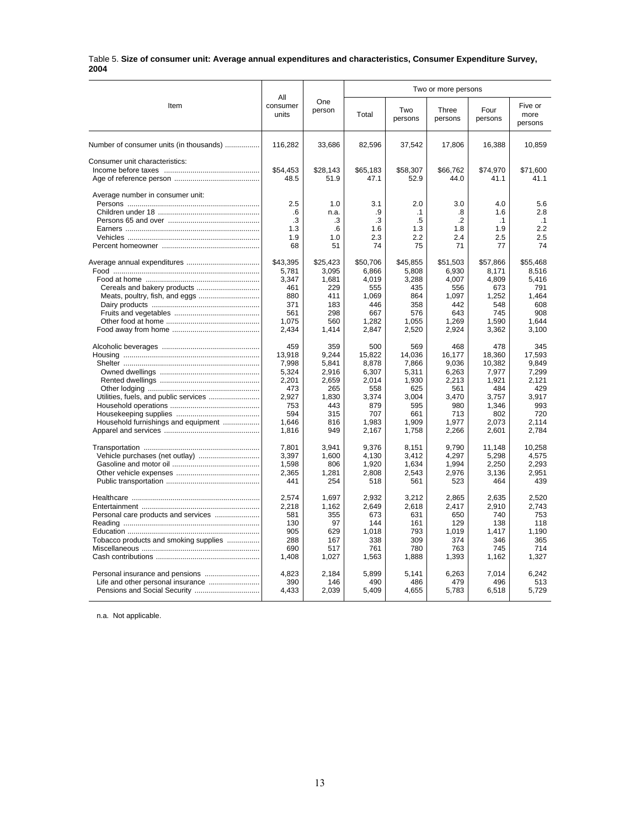#### Table 5. **Size of consumer unit: Average annual expenditures and characteristics, Consumer Expenditure Survey, 2004**

|                                         |                          |               | Two or more persons |                |                  |                 |                            |
|-----------------------------------------|--------------------------|---------------|---------------------|----------------|------------------|-----------------|----------------------------|
| Item                                    | All<br>consumer<br>units | One<br>person | Total               | Two<br>persons | Three<br>persons | Four<br>persons | Five or<br>more<br>persons |
| Number of consumer units (in thousands) | 116,282                  | 33,686        | 82,596              | 37,542         | 17,806           | 16,388          | 10,859                     |
| Consumer unit characteristics:          |                          |               |                     |                |                  |                 |                            |
|                                         | \$54,453                 | \$28,143      | \$65,183            | \$58,307       | \$66,762         | \$74,970        | \$71,600                   |
|                                         | 48.5                     | 51.9          | 47.1                | 52.9           | 44.0             | 41.1            | 41.1                       |
| Average number in consumer unit:        |                          |               |                     |                |                  |                 |                            |
|                                         | 2.5                      | 1.0           | 3.1                 | 2.0            | 3.0              | 4.0             | 5.6                        |
|                                         | .6                       | n.a.          | .9                  | $\cdot$ 1      | .8               | 1.6             | 2.8                        |
|                                         | .3                       | .3            | .3                  | .5             | $\cdot$          | $\cdot$ 1       | .1                         |
|                                         | 1.3                      | .6            | 1.6                 | 1.3            | 1.8              | 1.9             | 2.2                        |
|                                         | 1.9                      | 1.0           | 2.3                 | 2.2            | 2.4              | 2.5             | 2.5                        |
|                                         | 68                       | 51            | 74                  | 75             | 71               | 77              | 74                         |
|                                         | \$43,395                 | \$25,423      | \$50,706            | \$45,855       | \$51,503         | \$57,866        | \$55,468                   |
|                                         | 5,781                    | 3,095         | 6,866               | 5,808          | 6,930            | 8,171           | 8,516                      |
|                                         | 3,347                    | 1,681         | 4,019               | 3,288          | 4,007            | 4,809           | 5,416                      |
|                                         | 461                      | 229           | 555                 | 435            | 556              | 673             | 791                        |
| Meats, poultry, fish, and eggs          | 880                      | 411           | 1,069               | 864            | 1,097            | 1,252           | 1.464                      |
|                                         | 371                      | 183           | 446                 | 358            | 442              | 548             | 608                        |
|                                         | 561                      | 298           | 667                 | 576            | 643              | 745             | 908                        |
|                                         | 1,075                    | 560           | 1,282               | 1,055          | 1,269            | 1,590           | 1,644                      |
|                                         | 2,434                    | 1,414         | 2,847               | 2,520          | 2,924            | 3,362           | 3,100                      |
|                                         | 459                      | 359           | 500                 | 569            | 468              | 478             | 345                        |
|                                         | 13,918                   | 9,244         | 15,822              | 14,036         | 16,177           | 18,360          | 17,593                     |
|                                         | 7,998                    | 5,841         | 8,878               | 7,866          | 9,036            | 10,382          | 9,849                      |
|                                         | 5,324                    | 2,916         | 6,307               | 5,311          | 6,263            | 7,977           | 7,299                      |
|                                         | 2,201                    | 2,659         | 2,014               | 1,930          | 2,213            | 1,921           | 2,121                      |
|                                         | 473                      | 265           | 558                 | 625            | 561              | 484             | 429                        |
| Utilities, fuels, and public services   | 2.927                    | 1,830         | 3.374               | 3.004          | 3,470            | 3.757           | 3.917                      |
|                                         | 753<br>594               | 443           | 879                 | 595            | 980<br>713       | 1,346           | 993<br>720                 |
| Household furnishings and equipment     | 1,646                    | 315<br>816    | 707<br>1,983        | 661<br>1,909   | 1,977            | 802<br>2,073    | 2,114                      |
|                                         | 1,816                    | 949           | 2,167               | 1,758          | 2,266            | 2,601           | 2,784                      |
|                                         |                          |               |                     |                |                  |                 |                            |
|                                         | 7.801                    | 3,941         | 9,376               | 8,151          | 9,790            | 11,148          | 10,258                     |
|                                         | 3,397                    | 1.600         | 4,130               | 3.412          | 4.297            | 5,298           | 4.575                      |
|                                         | 1,598                    | 806           | 1,920               | 1,634          | 1,994            | 2,250           | 2,293                      |
|                                         | 2,365<br>441             | 1.281<br>254  | 2,808<br>518        | 2,543<br>561   | 2.976<br>523     | 3,136<br>464    | 2.951<br>439               |
|                                         |                          |               |                     |                |                  |                 |                            |
|                                         | 2,574                    | 1,697         | 2,932               | 3,212          | 2,865            | 2,635           | 2,520                      |
|                                         | 2,218                    | 1,162         | 2,649               | 2,618          | 2,417            | 2,910           | 2.743                      |
|                                         | 581                      | 355           | 673                 | 631            | 650              | 740             | 753                        |
|                                         | 130                      | 97            | 144                 | 161            | 129              | 138             | 118                        |
|                                         | 905                      | 629           | 1,018               | 793            | 1,019            | 1,417           | 1,190                      |
| Tobacco products and smoking supplies   | 288                      | 167           | 338                 | 309            | 374              | 346             | 365                        |
|                                         | 690                      | 517           | 761                 | 780            | 763              | 745             | 714                        |
|                                         | 1.408                    | 1,027         | 1,563               | 1,888          | 1,393            | 1,162           | 1,327                      |
| Personal insurance and pensions         | 4.823                    | 2.184         | 5.899               | 5,141          | 6.263            | 7.014           | 6.242                      |
| Life and other personal insurance       | 390                      | 146           | 490                 | 486            | 479              | 496             | 513                        |
| Pensions and Social Security            | 4,433                    | 2,039         | 5,409               | 4,655          | 5,783            | 6,518           | 5,729                      |
|                                         |                          |               |                     |                |                  |                 |                            |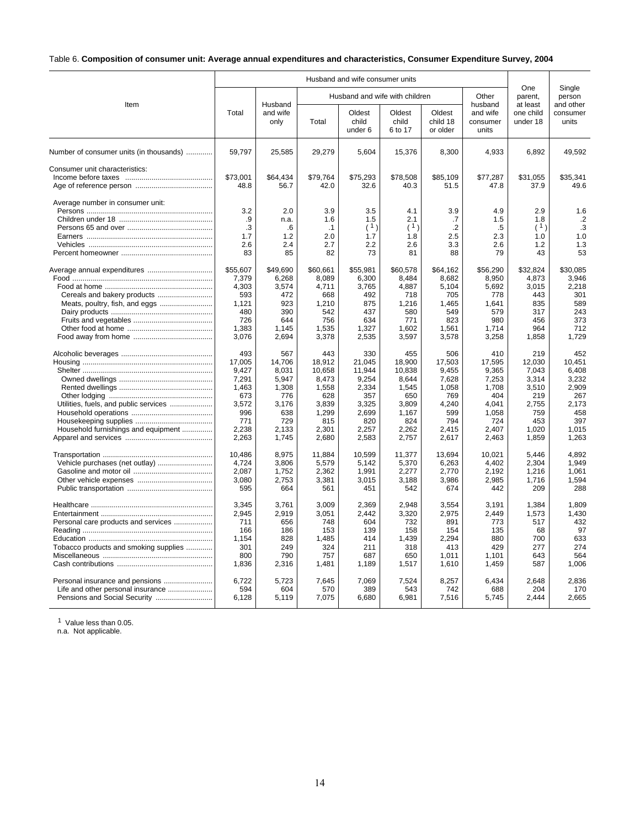## Table 6. **Composition of consumer unit: Average annual expenditures and characteristics, Consumer Expenditure Survey, 2004**

|                                                                              |                                                                                          |                                                                                          |                                                                                             | Husband and wife consumer units                                                             |                                                                                             |                                                                                          |                                                                                            |                                                                                          |                                                                                          |
|------------------------------------------------------------------------------|------------------------------------------------------------------------------------------|------------------------------------------------------------------------------------------|---------------------------------------------------------------------------------------------|---------------------------------------------------------------------------------------------|---------------------------------------------------------------------------------------------|------------------------------------------------------------------------------------------|--------------------------------------------------------------------------------------------|------------------------------------------------------------------------------------------|------------------------------------------------------------------------------------------|
|                                                                              |                                                                                          | Husband                                                                                  |                                                                                             |                                                                                             | Husband and wife with children                                                              |                                                                                          | Other                                                                                      | One<br>parent,                                                                           | Single<br>person                                                                         |
| Item                                                                         | Total                                                                                    | and wife<br>only                                                                         | Total                                                                                       | Oldest<br>child<br>under 6                                                                  | Oldest<br>child<br>6 to 17                                                                  | Oldest<br>child 18<br>or older                                                           | husband<br>and wife<br>consumer<br>units                                                   | at least<br>one child<br>under 18                                                        | and other<br>consumer<br>units                                                           |
| Number of consumer units (in thousands)                                      | 59,797                                                                                   | 25,585                                                                                   | 29,279                                                                                      | 5,604                                                                                       | 15,376                                                                                      | 8,300                                                                                    | 4,933                                                                                      | 6,892                                                                                    | 49,592                                                                                   |
| Consumer unit characteristics:                                               | \$73,001<br>48.8                                                                         | \$64,434<br>56.7                                                                         | \$79,764<br>42.0                                                                            | \$75,293<br>32.6                                                                            | \$78,508<br>40.3                                                                            | \$85,109<br>51.5                                                                         | \$77,287<br>47.8                                                                           | \$31,055<br>37.9                                                                         | \$35,341<br>49.6                                                                         |
| Average number in consumer unit:                                             | 3.2<br>.9<br>.3<br>1.7<br>2.6<br>83                                                      | 2.0<br>n.a.<br>.6<br>1.2<br>2.4<br>85                                                    | 3.9<br>1.6<br>$\cdot$ 1<br>2.0<br>2.7<br>82                                                 | 3.5<br>1.5<br>(1)<br>1.7<br>2.2<br>73                                                       | 4.1<br>2.1<br>(1)<br>1.8<br>2.6<br>81                                                       | 3.9<br>.7<br>$\cdot$ .2<br>2.5<br>3.3<br>88                                              | 4.9<br>1.5<br>.5<br>2.3<br>2.6<br>79                                                       | 2.9<br>1.8<br>(1)<br>1.0<br>1.2<br>43                                                    | 1.6<br>$\cdot$<br>.3<br>1.0<br>1.3<br>53                                                 |
| Meats, poultry, fish, and eggs                                               | \$55.607<br>7,379<br>4,303<br>593<br>1,121<br>480<br>726<br>1,383<br>3,076               | \$49.690<br>6.268<br>3,574<br>472<br>923<br>390<br>644<br>1,145<br>2,694                 | \$60.661<br>8,089<br>4,711<br>668<br>1,210<br>542<br>756<br>1,535<br>3,378                  | \$55.981<br>6,300<br>3,765<br>492<br>875<br>437<br>634<br>1,327<br>2,535                    | \$60.578<br>8.484<br>4,887<br>718<br>1,216<br>580<br>771<br>1,602<br>3,597                  | \$64.162<br>8,682<br>5,104<br>705<br>1,465<br>549<br>823<br>1,561<br>3,578               | \$56.290<br>8,950<br>5,692<br>778<br>1.641<br>579<br>980<br>1,714<br>3,258                 | \$32.824<br>4,873<br>3,015<br>443<br>835<br>317<br>456<br>964<br>1,858                   | \$30.085<br>3,946<br>2,218<br>301<br>589<br>243<br>373<br>712<br>1,729                   |
| Utilities, fuels, and public services<br>Household furnishings and equipment | 493<br>17,005<br>9,427<br>7,291<br>1,463<br>673<br>3,572<br>996<br>771<br>2,238<br>2,263 | 567<br>14,706<br>8,031<br>5.947<br>1,308<br>776<br>3,176<br>638<br>729<br>2.133<br>1,745 | 443<br>18,912<br>10,658<br>8,473<br>1,558<br>628<br>3,839<br>1,299<br>815<br>2,301<br>2,680 | 330<br>21,045<br>11,944<br>9,254<br>2,334<br>357<br>3,325<br>2,699<br>820<br>2,257<br>2,583 | 455<br>18,900<br>10,838<br>8.644<br>1,545<br>650<br>3,809<br>1,167<br>824<br>2,262<br>2,757 | 506<br>17,503<br>9,455<br>7,628<br>1,058<br>769<br>4,240<br>599<br>794<br>2.415<br>2,617 | 410<br>17,595<br>9,365<br>7,253<br>1,708<br>404<br>4,041<br>1,058<br>724<br>2,407<br>2,463 | 219<br>12,030<br>7,043<br>3.314<br>3,510<br>219<br>2,755<br>759<br>453<br>1,020<br>1,859 | 452<br>10,451<br>6,408<br>3,232<br>2,909<br>267<br>2,173<br>458<br>397<br>1,015<br>1,263 |
|                                                                              | 10.486<br>4,724<br>2,087<br>3,080<br>595                                                 | 8.975<br>3,806<br>1,752<br>2,753<br>664                                                  | 11,884<br>5,579<br>2,362<br>3,381<br>561                                                    | 10.599<br>5,142<br>1,991<br>3,015<br>451                                                    | 11,377<br>5,370<br>2,277<br>3,188<br>542                                                    | 13.694<br>6,263<br>2,770<br>3,986<br>674                                                 | 10.021<br>4,402<br>2,192<br>2,985<br>442                                                   | 5.446<br>2,304<br>1,216<br>1.716<br>209                                                  | 4.892<br>1,949<br>1,061<br>1,594<br>288                                                  |
| Personal care products and services<br>Tobacco products and smoking supplies | 3,345<br>2,945<br>711<br>166<br>1.154<br>301<br>800<br>1,836                             | 3,761<br>2,919<br>656<br>186<br>828<br>249<br>790<br>2,316                               | 3.009<br>3,051<br>748<br>153<br>1,485<br>324<br>757<br>1,481                                | 2.369<br>2,442<br>604<br>139<br>414<br>211<br>687<br>1,189                                  | 2.948<br>3,320<br>732<br>158<br>1.439<br>318<br>650<br>1,517                                | 3.554<br>2,975<br>891<br>154<br>2.294<br>413<br>1,011<br>1,610                           | 3.191<br>2.449<br>773<br>135<br>880<br>429<br>1,101<br>1,459                               | 1.384<br>1,573<br>517<br>68<br>700<br>277<br>643<br>587                                  | 1.809<br>1,430<br>432<br>97<br>633<br>274<br>564<br>1,006                                |
| Personal insurance and pensions                                              | 6,722<br>594<br>6,128                                                                    | 5,723<br>604<br>5,119                                                                    | 7,645<br>570<br>7,075                                                                       | 7,069<br>389<br>6,680                                                                       | 7,524<br>543<br>6,981                                                                       | 8,257<br>742<br>7,516                                                                    | 6,434<br>688<br>5,745                                                                      | 2,648<br>204<br>2,444                                                                    | 2,836<br>170<br>2,665                                                                    |

<sup>1</sup> Value less than 0.05.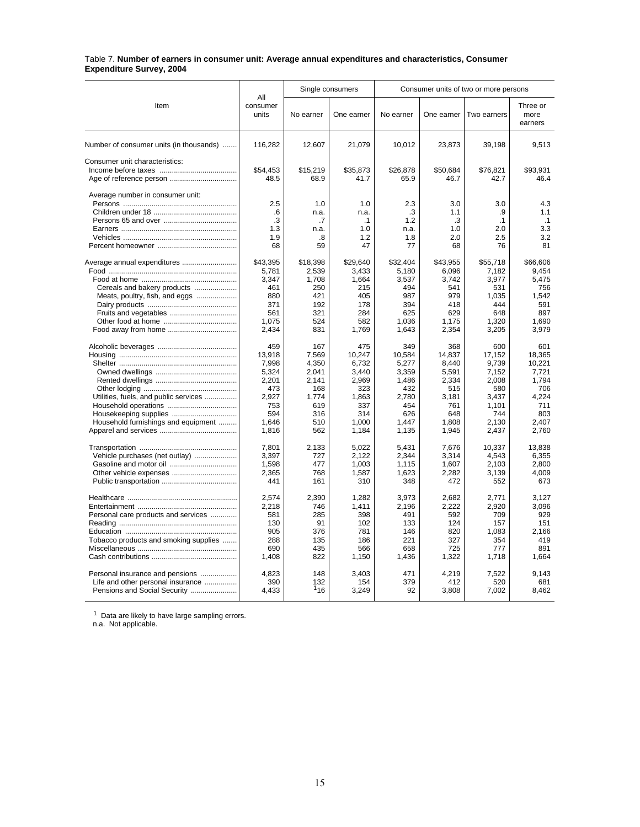#### Table 7. **Number of earners in consumer unit: Average annual expenditures and characteristics, Consumer Expenditure Survey, 2004**

|                                         |                          |            | Single consumers |              |              | Consumer units of two or more persons |                             |
|-----------------------------------------|--------------------------|------------|------------------|--------------|--------------|---------------------------------------|-----------------------------|
| Item                                    | All<br>consumer<br>units | No earner  | One earner       | No earner    | One earner   | Two earners                           | Three or<br>more<br>earners |
| Number of consumer units (in thousands) | 116,282                  | 12,607     | 21,079           | 10,012       | 23,873       | 39,198                                | 9,513                       |
| Consumer unit characteristics:          |                          |            |                  |              |              |                                       |                             |
|                                         | \$54,453                 | \$15,219   | \$35,873         | \$26,878     | \$50,684     | \$76,821                              | \$93.931                    |
| Age of reference person                 | 48.5                     | 68.9       | 41.7             | 65.9         | 46.7         | 42.7                                  | 46.4                        |
| Average number in consumer unit:        |                          |            |                  |              |              |                                       |                             |
|                                         | 2.5                      | 1.0        | 1.0              | 2.3          | 3.0          | 3.0                                   | 4.3                         |
|                                         | .6                       | n.a.       | n.a.             | .3           | 1.1          | .9                                    | 1.1                         |
|                                         | .3                       | .7         | $\cdot$ 1        | 1.2          | .3           | $\cdot$ 1                             | .1                          |
|                                         | 1.3                      | n.a.       | 1.0              | n.a.         | 1.0          | 2.0                                   | 3.3                         |
|                                         | 1.9                      | .8         | 1.2              | 1.8          | 2.0          | 2.5                                   | 3.2                         |
|                                         | 68                       | 59         | 47               | 77           | 68           | 76                                    | 81                          |
| Average annual expenditures             | \$43,395                 | \$18,398   | \$29,640         | \$32,404     | \$43,955     | \$55,718                              | \$66,606                    |
|                                         | 5,781                    | 2,539      | 3,433            | 5,180        | 6.096        | 7,182                                 | 9.454                       |
|                                         | 3.347                    | 1.708      | 1,664            | 3,537        | 3,742        | 3,977                                 | 5.475                       |
| Cereals and bakery products             | 461                      | 250        | 215              | 494          | 541          | 531                                   | 756                         |
| Meats, poultry, fish, and eggs          | 880                      | 421        | 405              | 987          | 979          | 1,035                                 | 1,542                       |
|                                         | 371                      | 192        | 178              | 394          | 418          | 444                                   | 591                         |
|                                         | 561<br>1.075             | 321<br>524 | 284<br>582       | 625<br>1.036 | 629<br>1,175 | 648<br>1,320                          | 897<br>1.690                |
|                                         | 2.434                    | 831        | 1,769            | 1.643        | 2,354        | 3,205                                 | 3,979                       |
|                                         | 459                      | 167        | 475              | 349          | 368          | 600                                   | 601                         |
|                                         | 13,918                   | 7,569      | 10,247           | 10,584       | 14,837       | 17,152                                | 18.365                      |
|                                         | 7.998                    | 4.350      | 6.732            | 5.277        | 8.440        | 9.739                                 | 10.221                      |
|                                         | 5,324                    | 2.041      | 3.440            | 3,359        | 5,591        | 7,152                                 | 7.721                       |
|                                         | 2,201                    | 2,141      | 2,969            | 1,486        | 2,334        | 2,008                                 | 1,794                       |
|                                         | 473                      | 168        | 323              | 432          | 515          | 580                                   | 706                         |
| Utilities, fuels, and public services   | 2,927                    | 1,774      | 1,863            | 2,780        | 3,181        | 3,437                                 | 4,224                       |
|                                         | 753                      | 619        | 337              | 454          | 761          | 1.101                                 | 711                         |
|                                         | 594                      | 316        | 314              | 626          | 648          | 744                                   | 803                         |
| Household furnishings and equipment     | 1,646                    | 510        | 1,000            | 1,447        | 1,808        | 2,130                                 | 2,407                       |
|                                         | 1,816                    | 562        | 1,184            | 1,135        | 1,945        | 2,437                                 | 2,760                       |
|                                         | 7.801                    | 2.133      | 5.022            | 5.431        | 7.676        | 10.337                                | 13.838                      |
| Vehicle purchases (net outlay)          | 3,397                    | 727        | 2,122            | 2,344        | 3,314        | 4,543                                 | 6,355                       |
|                                         | 1,598                    | 477        | 1,003            | 1,115        | 1,607        | 2,103                                 | 2,800                       |
|                                         | 2,365                    | 768        | 1,587            | 1,623        | 2,282        | 3,139                                 | 4.009                       |
|                                         | 441                      | 161        | 310              | 348          | 472          | 552                                   | 673                         |
|                                         | 2,574                    | 2,390      | 1,282            | 3,973        | 2,682        | 2,771                                 | 3,127                       |
|                                         | 2.218                    | 746        | 1,411            | 2.196        | 2.222        | 2,920                                 | 3.096                       |
| Personal care products and services     | 581                      | 285        | 398              | 491          | 592          | 709                                   | 929                         |
|                                         | 130                      | 91         | 102              | 133          | 124          | 157                                   | 151                         |
|                                         | 905                      | 376        | 781              | 146          | 820          | 1,083                                 | 2,166                       |
| Tobacco products and smoking supplies   | 288                      | 135        | 186              | 221          | 327          | 354                                   | 419                         |
|                                         | 690                      | 435        | 566              | 658          | 725          | 777                                   | 891                         |
|                                         | 1,408                    | 822        | 1,150            | 1,436        | 1,322        | 1,718                                 | 1.664                       |
| Personal insurance and pensions         | 4,823                    | 148        | 3,403            | 471          | 4,219        | 7,522                                 | 9,143                       |
| Life and other personal insurance       | 390                      | 132        | 154              | 379          | 412          | 520                                   | 681                         |
|                                         | 4,433                    | 116        | 3,249            | 92           | 3,808        | 7,002                                 | 8,462                       |

 $1$  Data are likely to have large sampling errors.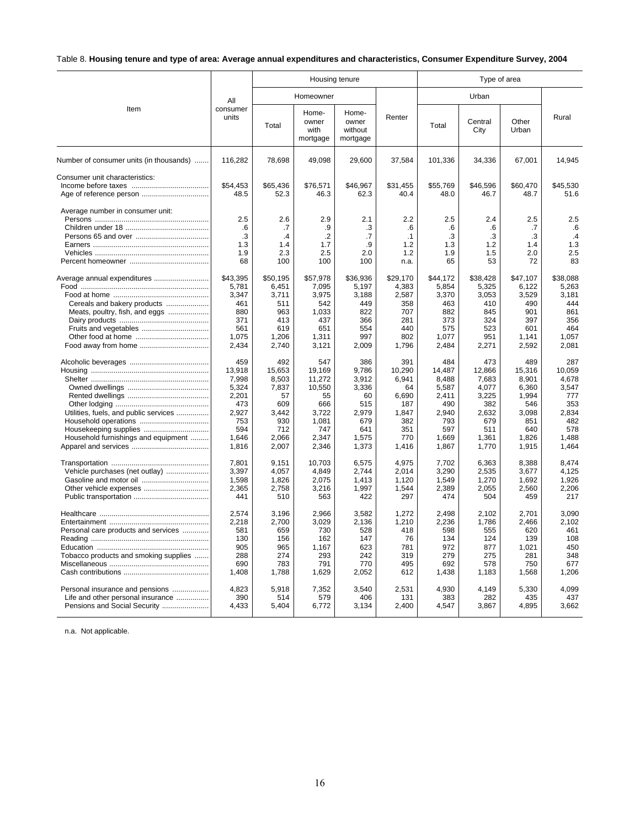## Table 8. **Housing tenure and type of area: Average annual expenditures and characteristics, Consumer Expenditure Survey, 2004**

|                                         |                          |                | Housing tenure                     |                                       |                | Type of area   |                 |                |                |
|-----------------------------------------|--------------------------|----------------|------------------------------------|---------------------------------------|----------------|----------------|-----------------|----------------|----------------|
|                                         | All<br>consumer<br>units | Homeowner      |                                    |                                       |                | Urban          |                 |                |                |
| Item                                    |                          | Total          | Home-<br>owner<br>with<br>mortgage | Home-<br>owner<br>without<br>mortgage | Renter         | Total          | Central<br>City | Other<br>Urban | Rural          |
| Number of consumer units (in thousands) | 116,282                  | 78,698         | 49,098                             | 29,600                                | 37,584         | 101,336        | 34,336          | 67,001         | 14,945         |
| Consumer unit characteristics:          |                          |                |                                    |                                       |                |                |                 |                |                |
|                                         | \$54,453                 | \$65,436       | \$76,571                           | \$46,967                              | \$31,455       | \$55,769       | \$46,596        | \$60,470       | \$45,530       |
|                                         | 48.5                     | 52.3           | 46.3                               | 62.3                                  | 40.4           | 48.0           | 46.7            | 48.7           | 51.6           |
| Average number in consumer unit:        | 2.5                      | 2.6            | 2.9                                | 2.1                                   | 2.2            | 2.5            | 2.4             | 2.5            | 2.5            |
|                                         | .6                       | .7             | .9                                 | .3                                    | .6             | .6             | .6              | .7             | .6             |
|                                         | .3                       | $\cdot$        | $\cdot$ .2                         | .7                                    | $\cdot$ 1      | .3             | .3              | .3             | $\cdot$ 4      |
|                                         | 1.3                      | 1.4            | 1.7                                | .9                                    | 1.2            | 1.3            | 1.2             | 1.4            | 1.3            |
|                                         | 1.9                      | 2.3            | 2.5                                | 2.0                                   | 1.2            | 1.9            | 1.5             | 2.0            | 2.5            |
|                                         | 68                       | 100            | 100                                | 100                                   | n.a.           | 65             | 53              | 72             | 83             |
|                                         |                          |                |                                    |                                       |                |                |                 |                |                |
| Average annual expenditures             | \$43,395                 | \$50,195       | \$57,978                           | \$36,936                              | \$29,170       | \$44,172       | \$38,428        | \$47,107       | \$38,088       |
|                                         | 5,781<br>3,347           | 6,451<br>3,711 | 7,095<br>3,975                     | 5,197<br>3,188                        | 4,383<br>2,587 | 5,854<br>3,370 | 5,325<br>3,053  | 6,122<br>3,529 | 5,263<br>3,181 |
| Cereals and bakery products             | 461                      | 511            | 542                                | 449                                   | 358            | 463            | 410             | 490            | 444            |
| Meats, poultry, fish, and eggs          | 880                      | 963            | 1,033                              | 822                                   | 707            | 882            | 845             | 901            | 861            |
|                                         | 371                      | 413            | 437                                | 366                                   | 281            | 373            | 324             | 397            | 356            |
|                                         | 561                      | 619            | 651                                | 554                                   | 440            | 575            | 523             | 601            | 464            |
|                                         | 1.075                    | 1,206          | 1,311                              | 997                                   | 802            | 1,077          | 951             | 1.141          | 1.057          |
|                                         | 2,434                    | 2,740          | 3,121                              | 2,009                                 | 1,796          | 2,484          | 2,271           | 2,592          | 2,081          |
|                                         | 459                      | 492            | 547                                | 386                                   | 391            | 484            | 473             | 489            | 287            |
|                                         | 13,918                   | 15,653         | 19,169                             | 9,786                                 | 10,290         | 14,487         | 12,866          | 15,316         | 10,059         |
|                                         | 7,998                    | 8.503          | 11.272                             | 3,912                                 | 6.941          | 8.488          | 7,683           | 8.901          | 4.678          |
|                                         | 5,324                    | 7,837          | 10,550                             | 3,336                                 | 64             | 5,587          | 4,077           | 6,360          | 3,547          |
|                                         | 2,201                    | 57             | 55                                 | 60                                    | 6,690          | 2,411          | 3,225           | 1,994          | 777            |
|                                         | 473                      | 609            | 666                                | 515                                   | 187            | 490            | 382             | 546            | 353            |
| Utilities, fuels, and public services   | 2,927                    | 3.442          | 3,722                              | 2,979                                 | 1,847          | 2,940          | 2,632           | 3,098          | 2.834          |
|                                         | 753                      | 930            | 1.081                              | 679                                   | 382            | 793            | 679             | 851            | 482            |
|                                         | 594                      | 712            | 747                                | 641                                   | 351            | 597            | 511             | 640            | 578            |
| Household furnishings and equipment     | 1,646                    | 2,066          | 2,347                              | 1,575                                 | 770            | 1,669          | 1,361           | 1,826          | 1.488          |
|                                         | 1,816                    | 2,007          | 2,346                              | 1,373                                 | 1,416          | 1,867          | 1,770           | 1,915          | 1,464          |
|                                         | 7,801                    | 9,151          | 10,703                             | 6,575                                 | 4,975          | 7,702          | 6,363           | 8,388          | 8.474          |
| Vehicle purchases (net outlay)          | 3,397                    | 4.057          | 4.849                              | 2.744                                 | 2.014          | 3,290          | 2.535           | 3.677          | 4.125          |
|                                         | 1,598                    | 1,826          | 2,075                              | 1,413                                 | 1,120          | 1,549          | 1,270           | 1,692          | 1,926          |
|                                         | 2,365                    | 2,758          | 3,216                              | 1,997                                 | 1,544          | 2,389          | 2,055           | 2,560          | 2.206          |
|                                         | 441                      | 510            | 563                                | 422                                   | 297            | 474            | 504             | 459            | 217            |
|                                         | 2,574                    | 3,196          | 2,966                              | 3.582                                 | 1.272          | 2.498          | 2,102           | 2.701          | 3.090          |
|                                         | 2,218                    | 2,700          | 3,029                              | 2,136                                 | 1,210          | 2,236          | 1,786           | 2,466          | 2,102          |
| Personal care products and services     | 581                      | 659            | 730                                | 528                                   | 418            | 598            | 555             | 620            | 461            |
|                                         | 130                      | 156            | 162                                | 147                                   | 76             | 134            | 124             | 139            | 108            |
|                                         | 905                      | 965            | 1,167                              | 623                                   | 781            | 972            | 877             | 1,021          | 450            |
| Tobacco products and smoking supplies   | 288                      | 274            | 293                                | 242                                   | 319            | 279            | 275             | 281            | 348            |
|                                         | 690                      | 783            | 791                                | 770                                   | 495            | 692            | 578             | 750            | 677            |
|                                         | 1,408                    | 1,788          | 1,629                              | 2,052                                 | 612            | 1,438          | 1,183           | 1,568          | 1,206          |
| Personal insurance and pensions         | 4,823                    | 5,918          | 7,352                              | 3,540                                 | 2,531          | 4,930          | 4,149           | 5,330          | 4,099          |
| Life and other personal insurance       | 390                      | 514            | 579                                | 406                                   | 131            | 383            | 282             | 435            | 437            |
|                                         | 4,433                    | 5,404          | 6,772                              | 3,134                                 | 2,400          | 4,547          | 3,867           | 4,895          | 3,662          |
|                                         |                          |                |                                    |                                       |                |                |                 |                |                |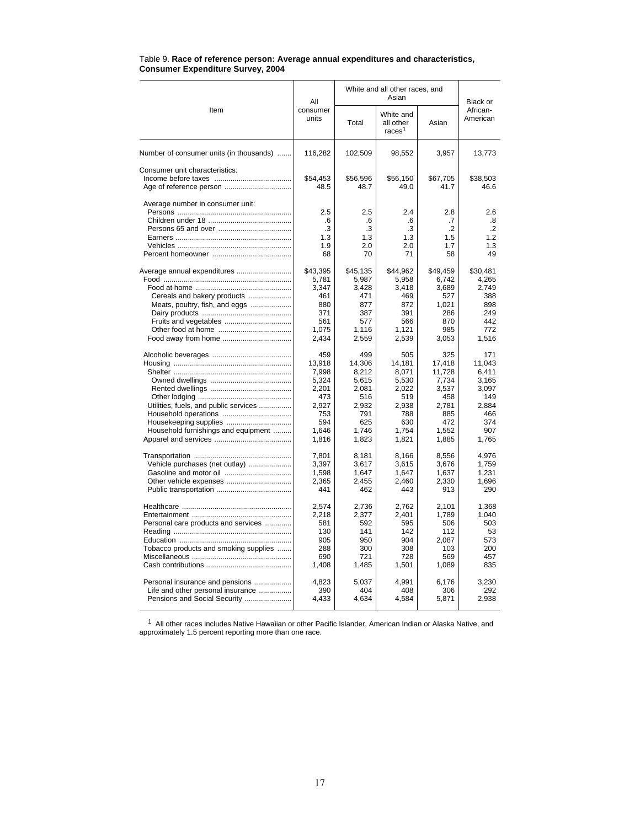|                                                                      | All               | White and all other races, and | Black or                                     |                  |                      |
|----------------------------------------------------------------------|-------------------|--------------------------------|----------------------------------------------|------------------|----------------------|
| Item                                                                 | consumer<br>units | Total                          | White and<br>all other<br>races <sup>1</sup> | Asian            | African-<br>American |
| Number of consumer units (in thousands)                              | 116,282           | 102,509                        | 98,552                                       | 3,957            | 13,773               |
| Consumer unit characteristics:                                       | \$54,453<br>48.5  | \$56,596<br>48.7               | \$56,150<br>49.0                             | \$67,705<br>41.7 | \$38,503<br>46.6     |
| Average number in consumer unit:                                     |                   |                                |                                              |                  |                      |
|                                                                      | 2.5<br>.6         | 2.5<br>.6                      | 2.4<br>.6                                    | 2.8<br>.7        | 2.6<br>.8            |
|                                                                      | .3                | $\cdot$ 3                      | .3                                           | $\cdot$          | $\cdot$ .2           |
|                                                                      | 1.3               | 1.3                            | 1.3                                          | 1.5              | 1.2                  |
|                                                                      | 1.9               | 2.0                            | 2.0                                          | 1.7              | 1.3                  |
|                                                                      | 68                | 70                             | 71                                           | 58               | 49                   |
| Average annual expenditures                                          | \$43,395          | \$45,135                       | \$44,962                                     | \$49,459         | \$30,481             |
|                                                                      | 5,781             | 5,987                          | 5,958                                        | 6,742            | 4,265                |
|                                                                      | 3.347             | 3.428                          | 3.418                                        | 3.689            | 2.749                |
| Cereals and bakery products                                          | 461<br>880        | 471<br>877                     | 469<br>872                                   | 527              | 388<br>898           |
| Meats, poultry, fish, and eggs                                       | 371               | 387                            | 391                                          | 1,021<br>286     | 249                  |
|                                                                      | 561               | 577                            | 566                                          | 870              | 442                  |
|                                                                      | 1,075             | 1,116                          | 1,121                                        | 985              | 772                  |
|                                                                      | 2,434             | 2,559                          | 2,539                                        | 3,053            | 1,516                |
|                                                                      | 459               | 499                            | 505                                          | 325              | 171                  |
|                                                                      | 13,918            | 14,306                         | 14,181                                       | 17,418           | 11,043               |
|                                                                      | 7,998             | 8,212                          | 8,071                                        | 11,728           | 6.411                |
|                                                                      | 5,324             | 5,615                          | 5,530                                        | 7,734            | 3,165                |
|                                                                      | 2,201<br>473      | 2,081<br>516                   | 2,022<br>519                                 | 3,537<br>458     | 3,097<br>149         |
| Utilities, fuels, and public services                                | 2,927             | 2,932                          | 2,938                                        | 2,781            | 2,884                |
|                                                                      | 753               | 791                            | 788                                          | 885              | 466                  |
|                                                                      | 594               | 625                            | 630                                          | 472              | 374                  |
| Household furnishings and equipment                                  | 1,646             | 1,746                          | 1,754                                        | 1,552            | 907                  |
|                                                                      | 1,816             | 1,823                          | 1,821                                        | 1,885            | 1,765                |
|                                                                      | 7,801             | 8,181                          | 8,166                                        | 8,556            | 4,976                |
| Vehicle purchases (net outlay)                                       | 3,397             | 3,617                          | 3,615                                        | 3,676            | 1,759                |
|                                                                      | 1,598<br>2,365    | 1,647<br>2,455                 | 1,647<br>2,460                               | 1,637<br>2,330   | 1,231<br>1,696       |
| Other vehicle expenses                                               | 441               | 462                            | 443                                          | 913              | 290                  |
|                                                                      | 2,574             | 2,736                          | 2,762                                        | 2,101            | 1,368                |
|                                                                      | 2,218             | 2,377                          | 2,401                                        | 1,789            | 1,040                |
| Personal care products and services                                  | 581               | 592                            | 595                                          | 506              | 503                  |
|                                                                      | 130               | 141                            | 142                                          | 112              | 53                   |
|                                                                      | 905               | 950                            | 904                                          | 2.087            | 573                  |
| Tobacco products and smoking supplies                                | 288               | 300                            | 308                                          | 103              | 200                  |
|                                                                      | 690<br>1,408      | 721<br>1,485                   | 728<br>1,501                                 | 569<br>1,089     | 457<br>835           |
|                                                                      |                   |                                |                                              |                  |                      |
| Personal insurance and pensions<br>Life and other personal insurance | 4.823<br>390      | 5.037<br>404                   | 4.991<br>408                                 | 6.176<br>306     | 3.230<br>292         |
| Pensions and Social Security                                         | 4,433             | 4,634                          | 4,584                                        | 5,871            | 2,938                |
|                                                                      |                   |                                |                                              |                  |                      |

#### Table 9. **Race of reference person: Average annual expenditures and characteristics, Consumer Expenditure Survey, 2004**

<sup>1</sup> All other races includes Native Hawaiian or other Pacific Islander, American Indian or Alaska Native, and approximately 1.5 percent reporting more than one race.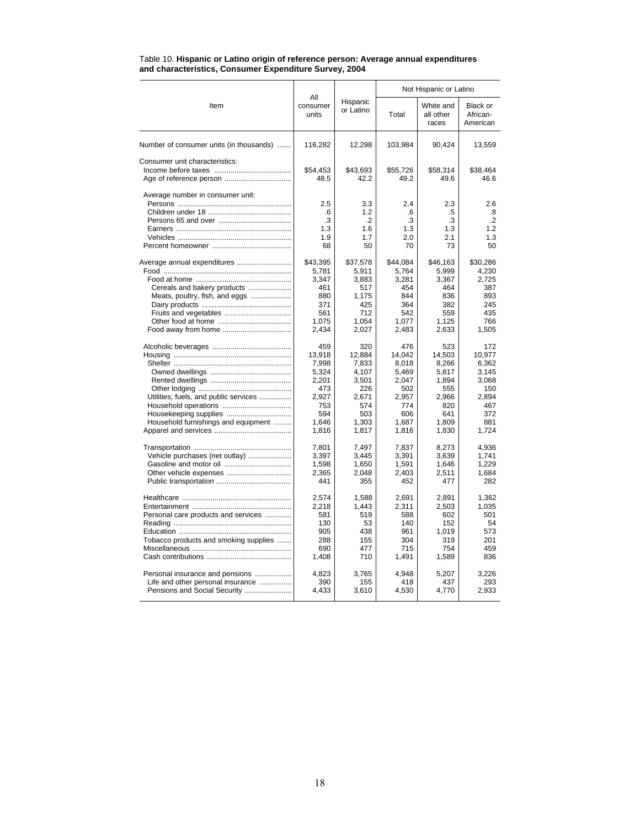|                                         |                          |                       | Not Hispanic or Latino |                                 |                                  |  |
|-----------------------------------------|--------------------------|-----------------------|------------------------|---------------------------------|----------------------------------|--|
| Item                                    | All<br>consumer<br>units | Hispanic<br>or Latino | Total                  | White and<br>all other<br>races | Black or<br>African-<br>American |  |
| Number of consumer units (in thousands) | 116,282                  | 12,298                | 103,984                | 90,424                          | 13,559                           |  |
| Consumer unit characteristics:          |                          |                       |                        |                                 |                                  |  |
|                                         | \$54,453                 | \$43,693              | \$55,726               | \$58,314                        | \$38,464                         |  |
| Age of reference person                 | 48.5                     | 42.2                  | 49.2                   | 49.6                            | 46.6                             |  |
| Average number in consumer unit:        |                          |                       |                        |                                 |                                  |  |
|                                         | 2.5                      | 3.3                   | 2.4                    | 2.3                             | 2.6                              |  |
|                                         | .6                       | 1.2                   | .6                     | .5                              | .8                               |  |
|                                         | .3                       | .2                    | .3                     | .3                              | $\cdot$                          |  |
|                                         | 1.3                      | 1.6                   | 1.3                    | 1.3                             | 1.2                              |  |
|                                         | 1.9                      | 1.7                   | 2.0                    | 2.1                             | 1.3                              |  |
|                                         | 68                       | 50                    | 70                     | 73                              | 50                               |  |
| Average annual expenditures             | \$43,395                 | \$37,578              | \$44,084               | \$46,163                        | \$30,286                         |  |
|                                         | 5,781                    | 5,911                 | 5,764                  | 5,999                           | 4,230                            |  |
|                                         | 3,347                    | 3,883                 | 3,281                  | 3,367                           | 2,725                            |  |
| Cereals and bakery products             | 461                      | 517                   | 454                    | 464                             | 387                              |  |
| Meats, poultry, fish, and eggs          | 880                      | 1,175                 | 844                    | 836                             | 893                              |  |
|                                         | 371                      | 425                   | 364                    | 382                             | 245                              |  |
|                                         | 561                      | 712                   | 542                    | 559                             | 435                              |  |
|                                         | 1,075                    | 1,054                 | 1,077                  | 1,125                           | 766                              |  |
|                                         | 2,434                    | 2,027                 | 2,483                  | 2,633                           | 1,505                            |  |
|                                         | 459                      | 320                   | 476                    | 523                             | 172                              |  |
|                                         | 13.918                   | 12.884                | 14.042                 | 14.503                          | 10.977                           |  |
|                                         | 7,998                    | 7.833                 | 8.018                  | 8.266                           | 6.362                            |  |
|                                         | 5,324                    | 4,107                 | 5.469                  | 5.817                           | 3,145                            |  |
|                                         | 2.201                    | 3.501                 | 2.047                  | 1.894                           | 3.068                            |  |
|                                         | 473                      | 226                   | 502                    | 555                             | 150                              |  |
| Utilities, fuels, and public services   | 2.927                    | 2.671                 | 2.957                  | 2.966                           | 2.894                            |  |
|                                         | 753                      | 574                   | 774                    | 820                             | 467                              |  |
| Housekeeping supplies                   | 594                      | 503                   | 606                    | 641                             | 372                              |  |
| Household furnishings and equipment     | 1,646                    | 1.303                 | 1,687                  | 1.809                           | 881                              |  |
|                                         | 1,816                    | 1,817                 | 1,816                  | 1,830                           | 1,724                            |  |
|                                         | 7,801                    | 7,497                 | 7,837                  | 8,273                           | 4,936                            |  |
| Vehicle purchases (net outlay)          | 3,397                    | 3,445                 | 3,391                  | 3,639                           | 1.741                            |  |
|                                         | 1,598                    | 1,650                 | 1,591                  | 1,646                           | 1,229                            |  |
|                                         | 2,365                    | 2,048                 | 2,403                  | 2,511                           | 1,684                            |  |
|                                         | 441                      | 355                   | 452                    | 477                             | 282                              |  |
|                                         | 2,574                    | 1,588                 | 2,691                  | 2,891                           | 1,362                            |  |
|                                         | 2,218                    | 1.443                 | 2,311                  | 2.503                           | 1.035                            |  |
| Personal care products and services     | 581                      | 519                   | 588                    | 602                             | 501                              |  |
|                                         | 130                      | 53                    | 140                    | 152                             | 54                               |  |
|                                         | 905                      | 438                   | 961                    | 1,019                           | 573                              |  |
| Tobacco products and smoking supplies   | 288                      | 155                   | 304                    | 319                             | 201                              |  |
|                                         | 690                      | 477                   | 715                    | 754                             | 459                              |  |
|                                         | 1,408                    | 710                   | 1,491                  | 1,589                           | 836                              |  |
| Personal insurance and pensions         | 4,823                    | 3,765                 | 4,948                  | 5,207                           | 3,226                            |  |
| Life and other personal insurance       | 390                      | 155                   | 418                    | 437                             | 293                              |  |
| Pensions and Social Security            | 4,433                    | 3,610                 | 4,530                  | 4,770                           | 2,933                            |  |
|                                         |                          |                       |                        |                                 |                                  |  |

#### Table 10. **Hispanic or Latino origin of reference person: Average annual expenditures and characteristics, Consumer Expenditure Survey, 2004**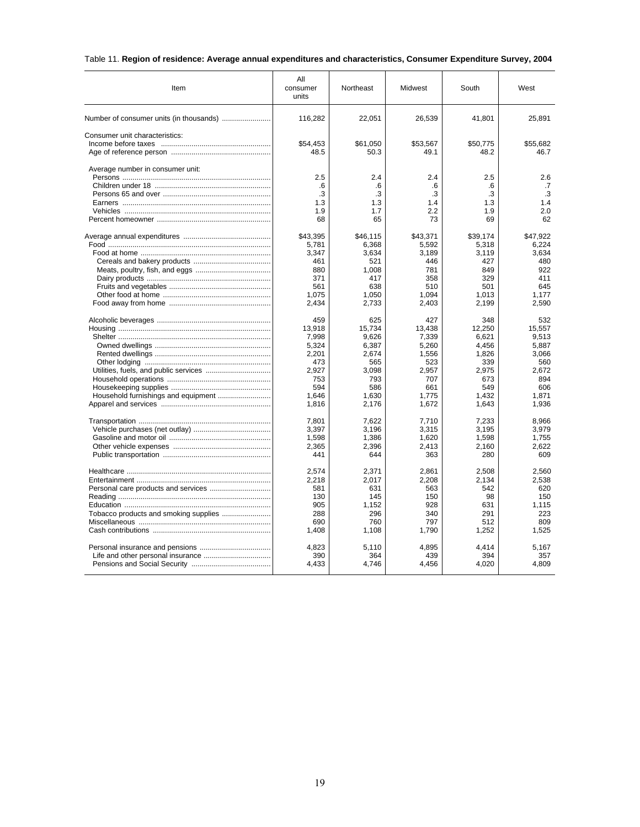## Table 11. **Region of residence: Average annual expenditures and characteristics, Consumer Expenditure Survey, 2004**

| Item                             | All<br>consumer<br>units | Northeast    | Midwest      | South        | West         |
|----------------------------------|--------------------------|--------------|--------------|--------------|--------------|
|                                  | 116,282                  | 22,051       | 26,539       | 41,801       | 25,891       |
| Consumer unit characteristics:   |                          |              |              |              |              |
|                                  | \$54,453                 | \$61,050     | \$53,567     | \$50,775     | \$55,682     |
|                                  | 48.5                     | 50.3         | 49.1         | 48.2         | 46.7         |
| Average number in consumer unit: | 2.5                      | 2.4          | 2.4          | 2.5          | 2.6          |
|                                  | .6                       | .6           | .6           | .6           | .7           |
|                                  | .3                       | .3           | .3           | .3           | .3           |
|                                  | 1.3                      | 1.3          | 1.4          | 1.3          | 1.4          |
|                                  | 1.9                      | 1.7          | 2.2          | 1.9          | 2.0          |
|                                  | 68                       | 65           | 73           | 69           | 62           |
|                                  | \$43,395                 | \$46,115     | \$43,371     | \$39,174     | \$47,922     |
|                                  | 5,781                    | 6,368        | 5,592        | 5,318        | 6,224        |
|                                  | 3,347                    | 3,634        | 3,189        | 3,119        | 3,634        |
|                                  | 461                      | 521          | 446          | 427          | 480          |
|                                  | 880                      | 1,008        | 781          | 849          | 922          |
|                                  | 371                      | 417          | 358          | 329          | 411          |
|                                  | 561<br>1,075             | 638<br>1,050 | 510<br>1,094 | 501<br>1,013 | 645<br>1,177 |
|                                  | 2,434                    | 2,733        | 2,403        | 2,199        | 2,590        |
|                                  | 459                      | 625          | 427          | 348          | 532          |
|                                  | 13,918                   | 15,734       | 13,438       | 12,250       | 15,557       |
|                                  | 7,998                    | 9,626        | 7,339        | 6,621        | 9,513        |
|                                  | 5,324                    | 6,387        | 5,260        | 4,456        | 5,887        |
|                                  | 2,201                    | 2,674        | 1,556        | 1,826        | 3,066        |
|                                  | 473                      | 565          | 523          | 339          | 560          |
|                                  | 2,927                    | 3,098        | 2,957        | 2,975        | 2,672        |
|                                  | 753                      | 793          | 707          | 673          | 894          |
|                                  | 594                      | 586          | 661          | 549          | 606          |
|                                  | 1.646                    | 1,630        | 1.775        | 1.432        | 1.871        |
|                                  | 1,816                    | 2,176        | 1,672        | 1,643        | 1,936        |
|                                  | 7.801                    | 7.622        | 7.710        | 7.233        | 8.966        |
|                                  | 3,397                    | 3,196        | 3,315        | 3,195        | 3,979        |
|                                  | 1,598                    | 1,386        | 1.620        | 1,598        | 1.755        |
|                                  | 2,365                    | 2,396        | 2,413        | 2,160        | 2,622        |
|                                  | 441                      | 644          | 363          | 280          | 609          |
|                                  | 2,574                    | 2,371        | 2,861        | 2,508        | 2,560        |
|                                  | 2,218                    | 2,017        | 2,208        | 2,134        | 2,538        |
|                                  | 581                      | 631          | 563          | 542          | 620          |
|                                  | 130                      | 145          | 150          | 98           | 150          |
|                                  | 905                      | 1,152        | 928          | 631          | 1.115        |
|                                  | 288                      | 296          | 340          | 291          | 223          |
|                                  | 690                      | 760          | 797          | 512          | 809          |
|                                  | 1,408                    | 1,108        | 1,790        | 1,252        | 1,525        |
|                                  | 4,823                    | 5,110        | 4,895        | 4.414        | 5,167        |
|                                  | 390                      | 364          | 439          | 394          | 357          |
|                                  | 4,433                    | 4,746        | 4,456        | 4,020        | 4,809        |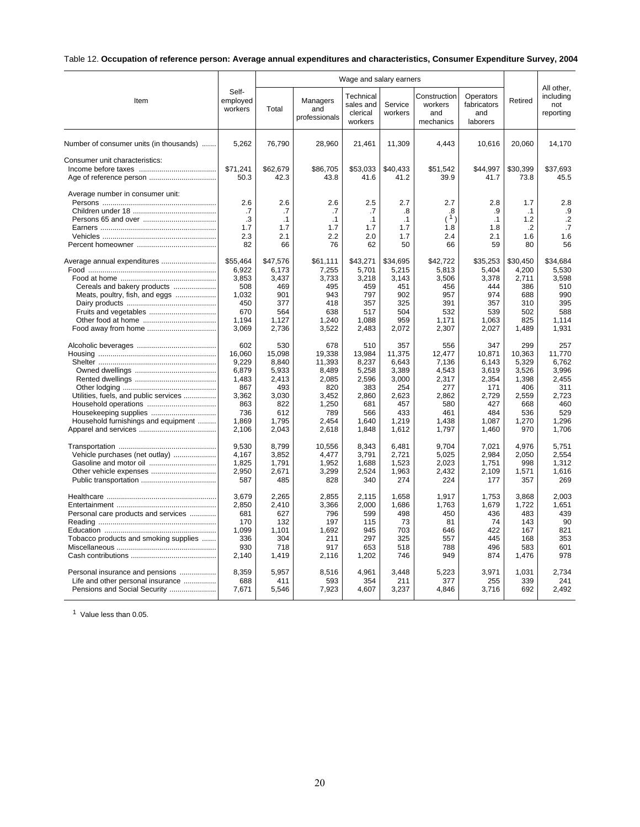## Table 12. **Occupation of reference person: Average annual expenditures and characteristics, Consumer Expenditure Survey, 2004**

|                                         | Wage and salary earners      |                   |                                  |                                               |                    |                                             |                                             | All other.        |                               |
|-----------------------------------------|------------------------------|-------------------|----------------------------------|-----------------------------------------------|--------------------|---------------------------------------------|---------------------------------------------|-------------------|-------------------------------|
| Item                                    | Self-<br>employed<br>workers | Total             | Managers<br>and<br>professionals | Technical<br>sales and<br>clerical<br>workers | Service<br>workers | Construction<br>workers<br>and<br>mechanics | Operators<br>fabricators<br>and<br>laborers | Retired           | including<br>not<br>reporting |
| Number of consumer units (in thousands) | 5,262                        | 76,790            | 28,960                           | 21,461                                        | 11,309             | 4,443                                       | 10,616                                      | 20,060            | 14,170                        |
| Consumer unit characteristics:          |                              |                   |                                  |                                               |                    |                                             |                                             |                   |                               |
|                                         | \$71,241<br>50.3             | \$62,679<br>42.3  | \$86,705<br>43.8                 | \$53,033<br>41.6                              | \$40,433<br>41.2   | \$51,542<br>39.9                            | \$44,997<br>41.7                            | \$30,399<br>73.8  | \$37.693<br>45.5              |
| Average number in consumer unit:        | 2.6                          | 2.6               | 2.6                              | 2.5                                           | 2.7                | 2.7                                         | 2.8                                         | 1.7               | 2.8                           |
|                                         | .7                           | .7                | .7                               | .7                                            | .8                 | .8                                          | .9                                          | $\cdot$ 1         | .9                            |
|                                         | .3                           | $\cdot$ 1         | $\cdot$ 1                        | .1                                            | $\cdot$ 1          | (1)                                         | .1                                          | 1.2               | $\cdot$                       |
|                                         | 1.7                          | 1.7               | 1.7                              | 1.7                                           | 1.7                | 1.8                                         | 1.8                                         | .2                | .7                            |
|                                         | 2.3                          | 2.1               | 2.2                              | 2.0                                           | 1.7                | 2.4                                         | 2.1                                         | 1.6               | 1.6                           |
|                                         | 82                           | 66                | 76                               | 62                                            | 50                 | 66                                          | 59                                          | 80                | 56                            |
| Average annual expenditures             | \$55,464<br>6,922            | \$47,576<br>6,173 | \$61,111<br>7,255                | \$43,271<br>5,701                             | \$34,695<br>5,215  | \$42,722<br>5,813                           | \$35,253<br>5,404                           | \$30,450<br>4,200 | \$34,684<br>5,530             |
|                                         | 3.853                        | 3,437             | 3.733                            | 3,218                                         | 3,143              | 3,506                                       | 3,378                                       | 2,711             | 3.598                         |
| Cereals and bakery products             | 508                          | 469               | 495                              | 459                                           | 451                | 456                                         | 444                                         | 386               | 510                           |
| Meats, poultry, fish, and eggs          | 1,032                        | 901               | 943                              | 797                                           | 902                | 957                                         | 974                                         | 688               | 990                           |
|                                         | 450                          | 377               | 418                              | 357                                           | 325                | 391                                         | 357                                         | 310               | 395                           |
|                                         | 670                          | 564               | 638                              | 517                                           | 504                | 532                                         | 539                                         | 502               | 588                           |
|                                         | 1,194                        | 1,127             | 1,240                            | 1,088                                         | 959                | 1,171                                       | 1,063                                       | 825               | 1,114                         |
|                                         | 3,069                        | 2,736             | 3,522                            | 2,483                                         | 2,072              | 2,307                                       | 2,027                                       | 1,489             | 1,931                         |
|                                         | 602                          | 530               | 678                              | 510                                           | 357                | 556                                         | 347                                         | 299               | 257                           |
|                                         | 16,060                       | 15.098            | 19.338                           | 13,984                                        | 11,375             | 12.477                                      | 10.871                                      | 10.363            | 11.770                        |
|                                         | 9,229                        | 8,840             | 11,393                           | 8,237                                         | 6,643              | 7,136                                       | 6,143                                       | 5,329             | 6,762                         |
|                                         | 6,879<br>1,483               | 5,933<br>2,413    | 8,489<br>2,085                   | 5,258<br>2,596                                | 3,389<br>3,000     | 4,543<br>2,317                              | 3,619<br>2,354                              | 3,526<br>1,398    | 3,996<br>2,455                |
|                                         | 867                          | 493               | 820                              | 383                                           | 254                | 277                                         | 171                                         | 406               | 311                           |
| Utilities, fuels, and public services   | 3,362                        | 3,030             | 3,452                            | 2,860                                         | 2.623              | 2.862                                       | 2.729                                       | 2,559             | 2.723                         |
|                                         | 863                          | 822               | 1,250                            | 681                                           | 457                | 580                                         | 427                                         | 668               | 460                           |
|                                         | 736                          | 612               | 789                              | 566                                           | 433                | 461                                         | 484                                         | 536               | 529                           |
| Household furnishings and equipment     | 1,869                        | 1,795             | 2,454                            | 1,640                                         | 1,219              | 1,438                                       | 1,087                                       | 1,270             | 1,296                         |
|                                         | 2,106                        | 2,043             | 2,618                            | 1,848                                         | 1,612              | 1,797                                       | 1,460                                       | 970               | 1.706                         |
|                                         | 9,530                        | 8,799             | 10,556                           | 8,343                                         | 6,481              | 9,704                                       | 7,021                                       | 4,976             | 5,751                         |
| Vehicle purchases (net outlay)          | 4,167                        | 3,852             | 4,477                            | 3,791                                         | 2,721              | 5,025                                       | 2,984                                       | 2,050             | 2.554                         |
| Gasoline and motor oil                  | 1,825                        | 1,791             | 1,952                            | 1,688                                         | 1,523              | 2,023                                       | 1,751                                       | 998               | 1.312                         |
| Other vehicle expenses                  | 2,950<br>587                 | 2,671<br>485      | 3,299<br>828                     | 2,524<br>340                                  | 1,963<br>274       | 2,432<br>224                                | 2,109<br>177                                | 1,571<br>357      | 1,616<br>269                  |
|                                         |                              |                   |                                  |                                               |                    |                                             |                                             |                   |                               |
|                                         | 3,679                        | 2,265             | 2,855                            | 2,115                                         | 1,658              | 1,917                                       | 1,753                                       | 3,868             | 2,003<br>1.651                |
| Personal care products and services     | 2,850<br>681                 | 2,410<br>627      | 3,366<br>796                     | 2,000<br>599                                  | 1,686<br>498       | 1,763<br>450                                | 1,679<br>436                                | 1,722<br>483      | 439                           |
|                                         | 170                          | 132               | 197                              | 115                                           | 73                 | 81                                          | 74                                          | 143               | 90                            |
|                                         | 1,099                        | 1,101             | 1,692                            | 945                                           | 703                | 646                                         | 422                                         | 167               | 821                           |
| Tobacco products and smoking supplies   | 336                          | 304               | 211                              | 297                                           | 325                | 557                                         | 445                                         | 168               | 353                           |
|                                         | 930                          | 718               | 917                              | 653                                           | 518                | 788                                         | 496                                         | 583               | 601                           |
|                                         | 2,140                        | 1,419             | 2,116                            | 1,202                                         | 746                | 949                                         | 874                                         | 1,476             | 978                           |
| Personal insurance and pensions         | 8,359                        | 5,957             | 8,516                            | 4,961                                         | 3,448              | 5,223                                       | 3,971                                       | 1,031             | 2,734                         |
| Life and other personal insurance       | 688                          | 411               | 593                              | 354                                           | 211                | 377                                         | 255                                         | 339               | 241                           |
| Pensions and Social Security            | 7.671                        | 5,546             | 7,923                            | 4.607                                         | 3,237              | 4.846                                       | 3,716                                       | 692               | 2.492                         |
|                                         |                              |                   |                                  |                                               |                    |                                             |                                             |                   |                               |

<sup>1</sup> Value less than 0.05.